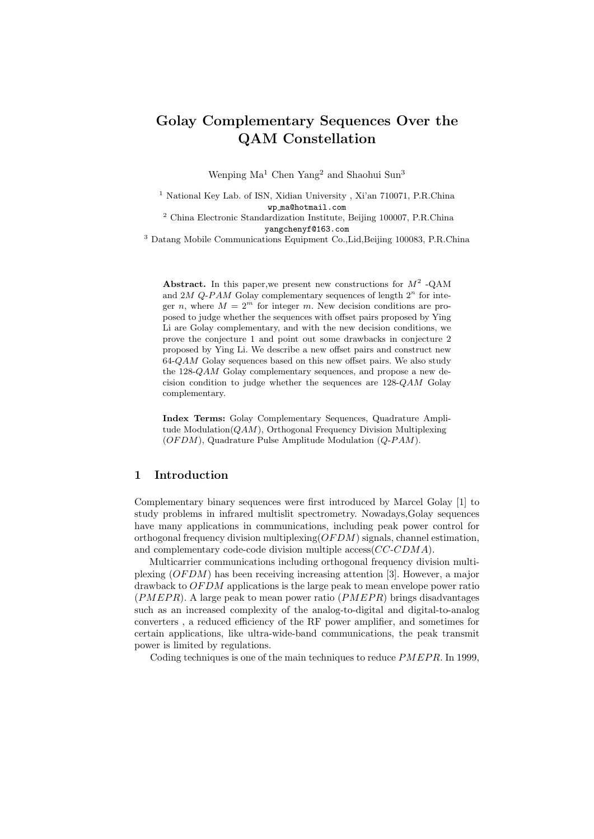### Golay Complementary Sequences Over the QAM Constellation

Wenping Ma<sup>1</sup> Chen Yang<sup>2</sup> and Shaohui Sun<sup>3</sup>

<sup>1</sup> National Key Lab. of ISN, Xidian University, Xi'an 710071, P.R.China wp ma@hotmail.com

<sup>2</sup> China Electronic Standardization Institute, Beijing 100007, P.R.China yangchenyf@163.com

<sup>3</sup> Datang Mobile Communications Equipment Co.,Lid,Beijing 100083, P.R.China

Abstract. In this paper, we present new constructions for  $M^2$  -QAM and  $2M$  Q-PAM Golay complementary sequences of length  $2<sup>n</sup>$  for integer n, where  $M = 2^m$  for integer m. New decision conditions are proposed to judge whether the sequences with offset pairs proposed by Ying Li are Golay complementary, and with the new decision conditions, we prove the conjecture 1 and point out some drawbacks in conjecture 2 proposed by Ying Li. We describe a new offset pairs and construct new  $64$ - $QAM$  Golay sequences based on this new offset pairs. We also study the 128-QAM Golay complementary sequences, and propose a new decision condition to judge whether the sequences are 128-QAM Golay complementary.

Index Terms: Golay Complementary Sequences, Quadrature Amplitude Modulation(QAM), Orthogonal Frequency Division Multiplexing  $(OFDM)$ , Quadrature Pulse Amplitude Modulation  $(Q-PAM)$ .

#### 1 Introduction

Complementary binary sequences were first introduced by Marcel Golay [1] to study problems in infrared multislit spectrometry. Nowadays,Golay sequences have many applications in communications, including peak power control for orthogonal frequency division multiplexing  $(OFDM)$  signals, channel estimation, and complementary code-code division multiple access(CC-CDMA).

Multicarrier communications including orthogonal frequency division multiplexing  $(OFDM)$  has been receiving increasing attention [3]. However, a major drawback to OF DM applications is the large peak to mean envelope power ratio  $(PMEPR)$ . A large peak to mean power ratio  $(PMEPR)$  brings disadvantages such as an increased complexity of the analog-to-digital and digital-to-analog converters , a reduced efficiency of the RF power amplifier, and sometimes for certain applications, like ultra-wide-band communications, the peak transmit power is limited by regulations.

Coding techniques is one of the main techniques to reduce  $PMEPR$ . In 1999,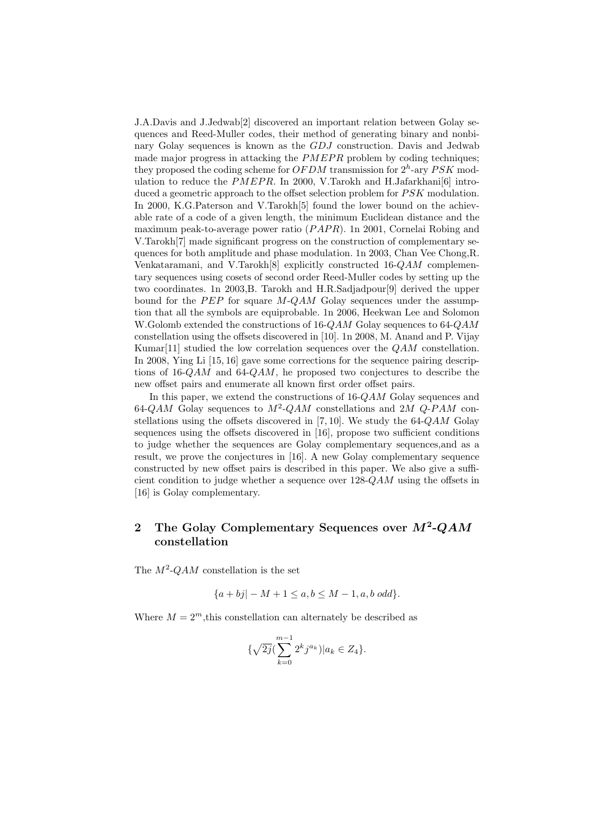J.A.Davis and J.Jedwab[2] discovered an important relation between Golay sequences and Reed-Muller codes, their method of generating binary and nonbinary Golay sequences is known as the GDJ construction. Davis and Jedwab made major progress in attacking the  $PMEPR$  problem by coding techniques; they proposed the coding scheme for  $OFDM$  transmission for  $2<sup>h</sup>$ -ary  $PSK$  modulation to reduce the  $PMEPR$ . In 2000, V. Tarokh and H. Jafarkhanis [6] introduced a geometric approach to the offset selection problem for  $PSK$  modulation. In 2000, K.G.Paterson and V.Tarokh[5] found the lower bound on the achievable rate of a code of a given length, the minimum Euclidean distance and the maximum peak-to-average power ratio  $(PAPR)$ . 1n 2001, Cornelai Robing and V.Tarokh[7] made significant progress on the construction of complementary sequences for both amplitude and phase modulation. 1n 2003, Chan Vee Chong,R. Venkataramani, and V.Tarokh[8] explicitly constructed 16-QAM complementary sequences using cosets of second order Reed-Muller codes by setting up the two coordinates. 1n 2003,B. Tarokh and H.R.Sadjadpour[9] derived the upper bound for the  $PEP$  for square  $M-QAM$  Golay sequences under the assumption that all the symbols are equiprobable. 1n 2006, Heekwan Lee and Solomon W. Golomb extended the constructions of 16-QAM Golay sequences to 64-QAM constellation using the offsets discovered in [10]. 1n 2008, M. Anand and P. Vijay Kumar<sup>[11]</sup> studied the low correlation sequences over the  $QAM$  constellation. In 2008, Ying Li [15, 16] gave some corrections for the sequence pairing descriptions of 16-QAM and 64-QAM, he proposed two conjectures to describe the new offset pairs and enumerate all known first order offset pairs.

In this paper, we extend the constructions of 16-QAM Golay sequences and 64-QAM Golay sequences to  $M^2$ -QAM constellations and 2M Q-PAM constellations using the offsets discovered in [7, 10]. We study the  $64\text{-}QAM$  Golay sequences using the offsets discovered in [16], propose two sufficient conditions to judge whether the sequences are Golay complementary sequences,and as a result, we prove the conjectures in [16]. A new Golay complementary sequence constructed by new offset pairs is described in this paper. We also give a sufficient condition to judge whether a sequence over  $128$ - $QAM$  using the offsets in [16] is Golay complementary.

#### 2 The Golay Complementary Sequences over  $M^2$ -QAM constellation

The  $M^2$ -QAM constellation is the set

$$
\{a+bj | -M+1 \le a, b \le M-1, a, b \text{ odd}\}.
$$

Where  $M = 2<sup>m</sup>$ , this constellation can alternately be described as

$$
\{\sqrt{2j}(\sum_{k=0}^{m-1}2^kj^{a_k})|a_k\in Z_4\}.
$$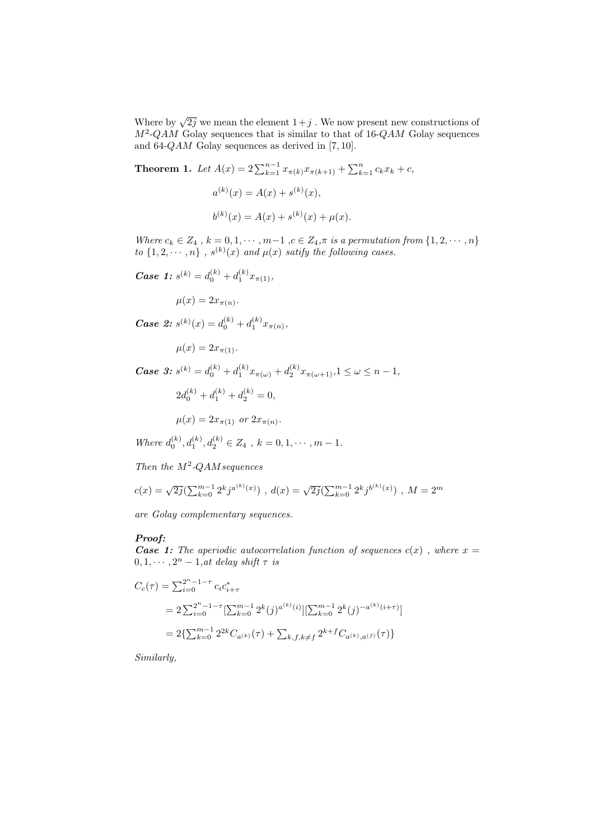Where by  $\sqrt{2j}$  we mean the element  $1+j$ . We now present new constructions of  $M^2$ -QAM Golay sequences that is similar to that of 16-QAM Golay sequences and 64-QAM Golay sequences as derived in [7, 10].

**Theorem 1.** Let  $A(x) = 2\sum_{k=1}^{n-1} x_{\pi(k)} x_{\pi(k+1)} + \sum_{k=1}^{n} c_k x_k + c$ ,

$$
a^{(k)}(x) = A(x) + s^{(k)}(x),
$$
  

$$
b^{(k)}(x) = A(x) + s^{(k)}(x) + \mu(x).
$$

Where  $c_k \in Z_4$ ,  $k = 0, 1, \dots, m-1$ ,  $c \in Z_4$ ,  $\pi$  is a permutation from  $\{1, 2, \dots, n\}$ to  $\{1, 2, \dots, n\}$ ,  $s^{(k)}(x)$  and  $\mu(x)$  satify the following cases.

**Case 1:**  $s^{(k)} = d_0^{(k)} + d_1^{(k)} x_{\pi(1)},$ 

 $\mu(x) = 2x_{\pi(n)}$ .

**Case 2:**  $s^{(k)}(x) = d_0^{(k)} + d_1^{(k)} x_{\pi(n)},$ 

$$
\mu(x) = 2x_{\pi(1)}.
$$

 $\textit{Case 3: } s^{(k)} = d_0^{(k)} + d_1^{(k)} x_{\pi(\omega)} + d_2^{(k)} x_{\pi(\omega+1)}, 1 \leq \omega \leq n-1,$ 

$$
2d_0^{(k)} + d_1^{(k)} + d_2^{(k)} = 0,
$$

$$
\mu(x) = 2x_{\pi(1)} \text{ or } 2x_{\pi(n)}.
$$

Where  $d_0^{(k)}, d_1^{(k)}, d_2^{(k)} \in Z_4$ ,  $k = 0, 1, \cdots, m - 1$ .

Then the  $M^2$ -QAM sequences

$$
c(x) = \sqrt{2j} \left( \sum_{k=0}^{m-1} 2^k j^{a^{(k)}(x)} \right) , d(x) = \sqrt{2j} \left( \sum_{k=0}^{m-1} 2^k j^{b^{(k)}(x)} \right) , M = 2^m
$$

are Golay complementary sequences.

#### Proof:

**Case 1:** The aperiodic autocorrelation function of sequences  $c(x)$ , where  $x =$  $0, 1, \cdots, 2^n - 1,$ at delay shift  $\tau$  is

$$
C_c(\tau) = \sum_{i=0}^{2^n - 1 - \tau} c_i c_{i+\tau}^*
$$
  
=  $2 \sum_{i=0}^{2^n - 1 - \tau} [\sum_{k=0}^{m-1} 2^k (j)^{a^{(k)}(i)}] [\sum_{k=0}^{m-1} 2^k (j)^{-a^{(k)}(i+\tau)}]$   
=  $2 \{ \sum_{k=0}^{m-1} 2^{2k} C_{a^{(k)}}(\tau) + \sum_{k,f,k \neq f} 2^{k+f} C_{a^{(k)},a^{(f)}}(\tau) \}$ 

Similarly,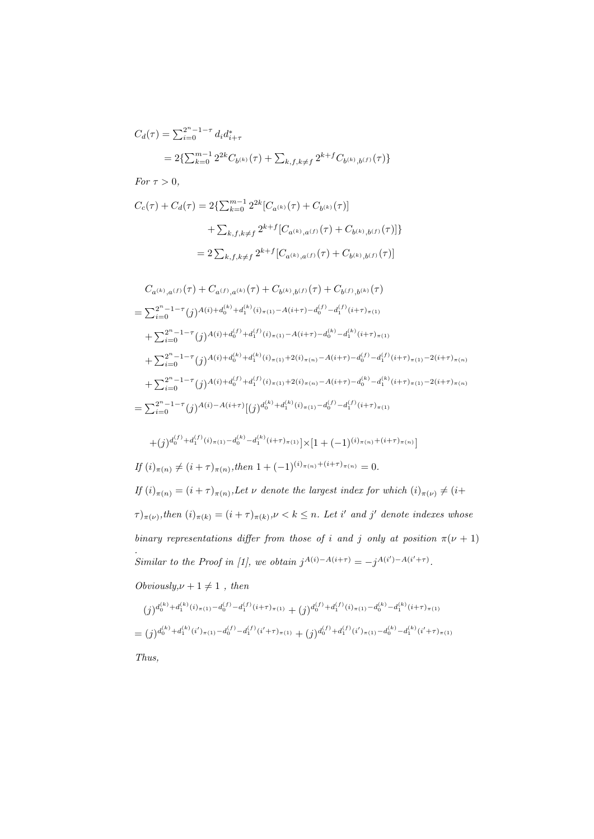$$
C_d(\tau) = \sum_{i=0}^{2^n - 1 - \tau} d_i d_{i+\tau}^*
$$
  
\n
$$
= 2\left\{\sum_{k=0}^{m-1} 2^{2k} C_{b^{(k)}}(\tau) + \sum_{k,f,k \neq f} 2^{k+f} C_{b^{(k)},b^{(f)}}(\tau)\right\}
$$
  
\nFor  $\tau > 0$ ,  
\n
$$
C_c(\tau) + C_d(\tau) = 2\left\{\sum_{k=0}^{m-1} 2^{2k} [C_{a^{(k)}}(\tau) + C_{b^{(k)}}(\tau)]\right\}
$$
  
\n
$$
+ \sum_{k,f,k \neq f} 2^{k+f} [C_{a^{(k)},a^{(f)}}(\tau) + C_{b^{(k)},b^{(f)}}(\tau)]\}
$$
  
\n
$$
= 2 \sum_{k,f,k \neq f} 2^{k+f} [C_{a^{(k)},a^{(f)}}(\tau) + C_{b^{(k)},b^{(f)}}(\tau)]
$$

$$
C_{a^{(k)},a^{(f)}}(\tau) + C_{a^{(f)},a^{(k)}}(\tau) + C_{b^{(k)},b^{(f)}}(\tau) + C_{b^{(f)},b^{(k)}}(\tau)
$$
  
\n
$$
= \sum_{i=0}^{2^{n}-1-\tau} (j)^{A(i)+d_{0}^{(k)}+d_{1}^{(k)}(i)_{\pi(1)}-A(i+\tau)-d_{0}^{(f)}-d_{1}^{(f)}(i+\tau)_{\pi(1)}}\n+ \sum_{i=0}^{2^{n}-1-\tau} (j)^{A(i)+d_{0}^{(f)}+d_{1}^{(f)}(i)_{\pi(1)}-A(i+\tau)-d_{0}^{(k)}-d_{1}^{(k)}(i+\tau)_{\pi(1)}}\n+ \sum_{i=0}^{2^{n}-1-\tau} (j)^{A(i)+d_{0}^{(k)}+d_{1}^{(k)}(i)_{\pi(1)}+2(i)_{\pi(n)}-A(i+\tau)-d_{0}^{(f)}-d_{1}^{(f)}(i+\tau)_{\pi(1)}-2(i+\tau)_{\pi(n)}}\n+ \sum_{i=0}^{2^{n}-1-\tau} (j)^{A(i)+d_{0}^{(f)}+d_{1}^{(f)}(i)_{\pi(1)}+2(i)_{\pi(n)}-A(i+\tau)-d_{0}^{(k)}-d_{1}^{(k)}(i+\tau)_{\pi(1)}-2(i+\tau)_{\pi(n)}}\n= \sum_{i=0}^{2^{n}-1-\tau} (j)^{A(i)-A(i+\tau)} [(j)^{d_{0}^{(k)}+d_{1}^{(k)}(i)_{\pi(1)}-d_{0}^{(f)}-d_{1}^{(f)}(i+\tau)_{\pi(1)}}\n+ (j)^{2^{n}-1-\tau} (j)^{A(i)}-d_{1}^{(f)}(i+\tau)_{\pi(1)}-d_{0}^{(f)}-d_{1}^{(f)}(i+\tau)_{\pi(1)}}\n+ (j)^{2^{n}-1-\tau} (j)^{A(i)}-d_{1}^{(f)}(i+\tau)_{\pi(1)}-d_{0}^{(f)}-d_{1}^{(f)}(i+\tau)_{\pi(1)}}\n+ (j)^{2^{n}-1-\tau} (j)^{A(i)}-d_{1}^{(f)}(i+\tau)_{\pi(1)}-d_{0}^{(f)}-d_{1}^{(f)}(i+\tau)_{\pi(1)}}
$$

$$
+(j)^{d_0^{(f)}+d_1^{(f)}(i)_{\pi(1)}-d_0^{(k)}-d_1^{(k)}(i+\tau)_{\pi(1)}}] \times [1+(-1)^{(i)_{\pi(n)}+(i+\tau)_{\pi(n)}}]
$$

$$
If (i)_{\pi(n)} \neq (i+\tau)_{\pi(n)}, then 1+(-1)^{(i)_{\pi(n)}+(i+\tau)_{\pi(n)}} = 0.
$$

 $If (i)_{\pi(n)} = (i+\tau)_{\pi(n)}$ , Let v denote the largest index for which  $(i)_{\pi(\nu)} \neq (i+\tau)_{\pi(n)}$  $(\tau)_{\pi(\nu)},$  then  $(i)_{\pi(k)} = (i+\tau)_{\pi(k)}, \nu < k \leq n$ . Let i' and j' denote indexes whose binary representations differ from those of i and j only at position  $\pi(\nu + 1)$ . Similar to the Proof in [1], we obtain  $j^{A(i)-A(i+\tau)} = -j^{A(i')-A(i'+\tau)}$ .

 $Obviously, \nu + 1 \neq 1$ , then

$$
(j)^{d_0^{(k)} + d_1^{(k)}(i)_{\pi(1)} - d_0^{(f)} - d_1^{(f)}(i+\tau)_{\pi(1)}} + (j)^{d_0^{(f)} + d_1^{(f)}(i)_{\pi(1)} - d_0^{(k)} - d_1^{(k)}(i+\tau)_{\pi(1)}}
$$
\n
$$
= (j)^{d_0^{(k)} + d_1^{(k)}(i')_{\pi(1)} - d_0^{(f)} - d_1^{(f)}(i'+\tau)_{\pi(1)}} + (j)^{d_0^{(f)} + d_1^{(f)}(i')_{\pi(1)} - d_0^{(k)} - d_1^{(k)}(i'+\tau)_{\pi(1)}}
$$
\nThus,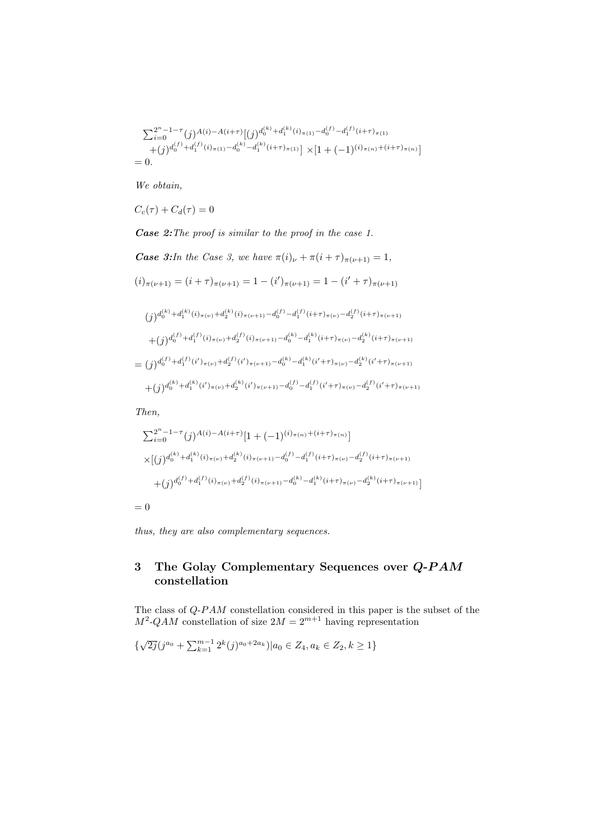$$
\sum_{i=0}^{2^n - 1 - \tau} (j)^{A(i) - A(i + \tau)} [(j)^{d_0^{(k)} + d_1^{(k)}(i)_{\pi(1)} - d_0^{(f)} - d_1^{(f)}(i + \tau)_{\pi(1)}}+ (j)^{d_0^{(f)} + d_1^{(f)}(i)_{\pi(1)} - d_0^{(k)} - d_1^{(k)}(i + \tau)_{\pi(1)}}] \times [1 + (-1)^{(i)_{\pi(n)} + (i + \tau)_{\pi(n)}}]= 0.
$$

We obtain,

$$
C_c(\tau) + C_d(\tau) = 0
$$

Case 2:The proof is similar to the proof in the case 1.

Case 3: In the Case 3, we have 
$$
\pi(i)_{\nu} + \pi(i + \tau)_{\pi(\nu+1)} = 1
$$
,  
\n $(i)_{\pi(\nu+1)} = (i + \tau)_{\pi(\nu+1)} = 1 - (i')_{\pi(\nu+1)} = 1 - (i' + \tau)_{\pi(\nu+1)}$ 

$$
(j)^{d_0^{(k)} + d_1^{(k)}(i)_{\pi(\nu)} + d_2^{(k)}(i)_{\pi(\nu+1)} - d_0^{(f)} - d_1^{(f)}(i+\tau)_{\pi(\nu)} - d_2^{(f)}(i+\tau)_{\pi(\nu+1)}} + (j)^{d_0^{(f)} + d_1^{(f)}(i)_{\pi(\nu)} + d_2^{(f)}(i)_{\pi(\nu+1)} - d_0^{(k)} - d_1^{(k)}(i+\tau)_{\pi(\nu)} - d_2^{(k)}(i+\tau)_{\pi(\nu+1)}} = (j)^{d_0^{(f)} + d_1^{(f)}(i')_{\pi(\nu)} + d_2^{(f)}(i')_{\pi(\nu+1)} - d_0^{(k)} - d_1^{(k)}(i'+\tau)_{\pi(\nu)} - d_2^{(k)}(i'+\tau)_{\pi(\nu+1)}} + (j)^{d_0^{(k)} + d_1^{(k)}(i')_{\pi(\nu)} + d_2^{(k)}(i')_{\pi(\nu+1)} - d_0^{(f)} - d_1^{(f)}(i'+\tau)_{\pi(\nu)} - d_2^{(f)}(i'+\tau)_{\pi(\nu+1)}}
$$

Then,

$$
\sum_{i=0}^{2^{n}-1-\tau}(j)^{A(i)-A(i+\tau)}[1+(-1)^{(i)_{\pi(n)}+(i+\tau)_{\pi(n)}}]
$$
\n
$$
\times [(j)^{d_0^{(k)}+d_1^{(k)}(i)_{\pi(\nu)}+d_2^{(k)}(i)_{\pi(\nu+1)}-d_0^{(f)}-d_1^{(f)}(i+\tau)_{\pi(\nu)}-d_2^{(f)}(i+\tau)_{\pi(\nu+1)}}+
$$
\n
$$
+(j)^{d_0^{(f)}+d_1^{(f)}(i)_{\pi(\nu)}+d_2^{(f)}(i)_{\pi(\nu+1)}-d_0^{(k)}-d_1^{(k)}(i+\tau)_{\pi(\nu)}-d_2^{(k)}(i+\tau)_{\pi(\nu+1)}}]
$$

 $= 0$ 

thus, they are also complementary sequences.

#### 3 The Golay Complementary Sequences over Q-PAM constellation

The class of  $Q\text{-}PAM$  constellation considered in this paper is the subset of the  $M^2$ -QAM constellation of size  $2M = 2^{m+1}$  having representation

$$
\{\sqrt{2j}(j^{a_0} + \sum_{k=1}^{m-1} 2^k(j)^{a_0+2a_k}) | a_0 \in Z_4, a_k \in Z_2, k \ge 1 \}
$$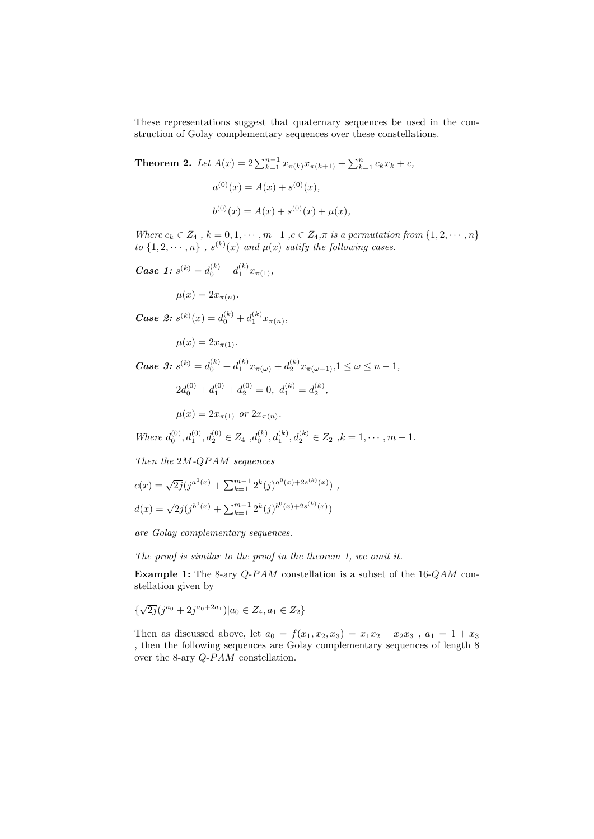These representations suggest that quaternary sequences be used in the construction of Golay complementary sequences over these constellations.

**Theorem 2.** Let  $A(x) = 2\sum_{k=1}^{n-1} x_{\pi(k)} x_{\pi(k+1)} + \sum_{k=1}^{n} c_k x_k + c$ ,  $a^{(0)}(x) = A(x) + s^{(0)}(x),$  $b^{(0)}(x) = A(x) + s^{(0)}(x) + \mu(x),$ 

Where  $c_k \in Z_4$ ,  $k = 0, 1, \cdots, m-1$ ,  $c \in Z_4$ ,  $\pi$  is a permutation from  $\{1, 2, \cdots, n\}$ to  $\{1, 2, \dots, n\}$ ,  $s^{(k)}(x)$  and  $\mu(x)$  satify the following cases.

**Case 1:**  $s^{(k)} = d_0^{(k)} + d_1^{(k)} x_{\pi(1)},$ 

$$
\mu(x) = 2x_{\pi(n)}.
$$

**Case 2:**  $s^{(k)}(x) = d_0^{(k)} + d_1^{(k)} x_{\pi(n)},$ 

 $\mu(x) = 2x_{\pi(1)}$ .

 $\textit{Case 3: } s^{(k)} = d_0^{(k)} + d_1^{(k)} x_{\pi(\omega)} + d_2^{(k)} x_{\pi(\omega+1)}, 1 \leq \omega \leq n-1,$  $2d_0^{(0)} + d_1^{(0)} + d_2^{(0)} = 0, d_1^{(k)} = d_2^{(k)},$  $\mu(x) = 2x_{\pi(1)}$  or  $2x_{\pi(n)}$ .

Where  $d_0^{(0)}, d_1^{(0)}, d_2^{(0)} \in Z_4$ ,  $d_0^{(k)}, d_1^{(k)}, d_2^{(k)} \in Z_2$ ,  $k = 1, \dots, m - 1$ .

Then the 2M-QPAM sequences

$$
c(x) = \sqrt{2j}(j^{a^0(x)} + \sum_{k=1}^{m-1} 2^k(j)^{a^0(x) + 2s^{(k)}(x)}) ,
$$
  

$$
d(x) = \sqrt{2j}(j^{b^0(x)} + \sum_{k=1}^{m-1} 2^k(j)^{b^0(x) + 2s^{(k)}(x)})
$$

are Golay complementary sequences.

The proof is similar to the proof in the theorem 1, we omit it.

Example 1: The 8-ary  $Q$ -PAM constellation is a subset of the 16-QAM constellation given by

$$
\{\sqrt{2j}(j^{a_0} + 2j^{a_0+2a_1}) | a_0 \in Z_4, a_1 \in Z_2\}
$$

Then as discussed above, let  $a_0 = f(x_1, x_2, x_3) = x_1x_2 + x_2x_3$ ,  $a_1 = 1 + x_3$ , then the following sequences are Golay complementary sequences of length 8 over the 8-ary  $Q$ - $PAM$  constellation.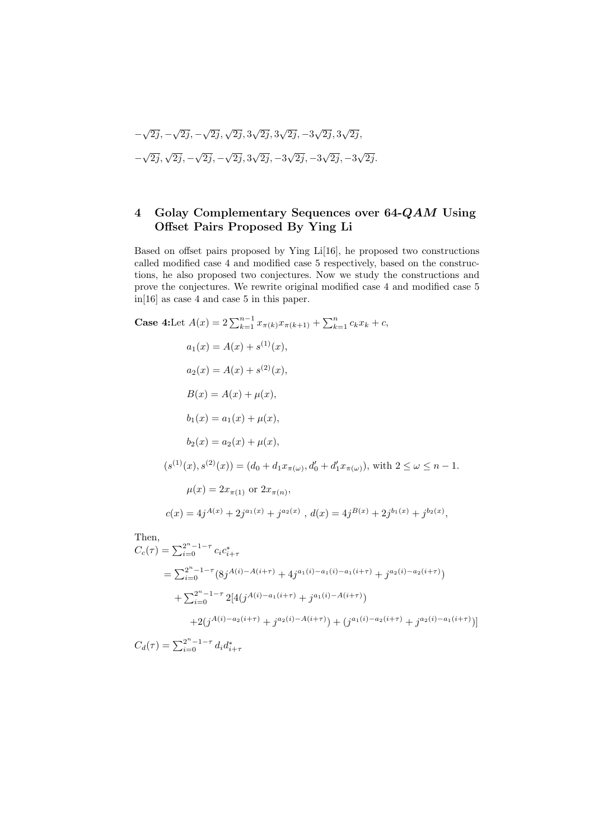$$
-\sqrt{2j}, -\sqrt{2j}, -\sqrt{2j}, \sqrt{2j}, 3\sqrt{2j}, 3\sqrt{2j}, -3\sqrt{2j}, 3\sqrt{2j}, -\sqrt{2j}, \sqrt{2j}, -\sqrt{2j}, -\sqrt{2j}, 3\sqrt{2j}, -3\sqrt{2j}, -3\sqrt{2j}, -3\sqrt{2j}.
$$

#### 4 Golay Complementary Sequences over 64-QAM Using Offset Pairs Proposed By Ying Li

Based on offset pairs proposed by Ying Li[16], he proposed two constructions called modified case 4 and modified case 5 respectively, based on the constructions, he also proposed two conjectures. Now we study the constructions and prove the conjectures. We rewrite original modified case 4 and modified case 5 in[16] as case 4 and case 5 in this paper.

Case 4:Let 
$$
A(x) = 2 \sum_{k=1}^{n-1} x_{\pi(k)} x_{\pi(k+1)} + \sum_{k=1}^{n} c_k x_k + c
$$
,  
\n $a_1(x) = A(x) + s^{(1)}(x)$ ,  
\n $a_2(x) = A(x) + s^{(2)}(x)$ ,  
\n $B(x) = A(x) + \mu(x)$ ,  
\n $b_1(x) = a_1(x) + \mu(x)$ ,  
\n $b_2(x) = a_2(x) + \mu(x)$ ,  
\n $(s^{(1)}(x), s^{(2)}(x)) = (d_0 + d_1 x_{\pi(\omega)}, d'_0 + d'_1 x_{\pi(\omega)})$ , with  $2 \le \omega \le n - 1$ .  
\n $\mu(x) = 2x_{\pi(1)}$  or  $2x_{\pi(n)}$ ,  
\n $c(x) = 4j^{A(x)} + 2j^{a_1(x)} + j^{a_2(x)}$ ,  $d(x) = 4j^{B(x)} + 2j^{b_1(x)} + j^{b_2(x)}$ ,  
\nThen,  
\n $C_c(\tau) = \sum_{i=0}^{2^n - 1 - \tau} c_i c_{i+\tau}^*$ 

$$
C_c(\tau) = \sum_{i=0}^{2^n - 1 - \tau} c_i c_{i+\tau}^*
$$
  
=  $\sum_{i=0}^{2^n - 1 - \tau} (8j^{A(i) - A(i+\tau)} + 4j^{a_1(i) - a_1(i) - a_1(i+\tau)} + j^{a_2(i) - a_2(i+\tau)})$   
+  $\sum_{i=0}^{2^n - 1 - \tau} 2[4(j^{A(i) - a_1(i+\tau)} + j^{a_1(i) - A(i+\tau)})$   
+  $2(j^{A(i) - a_2(i+\tau)} + j^{a_2(i) - A(i+\tau)}) + (j^{a_1(i) - a_2(i+\tau)} + j^{a_2(i) - a_1(i+\tau)})]$ 

 $C_d(\tau) = \sum_{i=0}^{2^n - 1 - \tau} d_i d_{i+\tau}^*$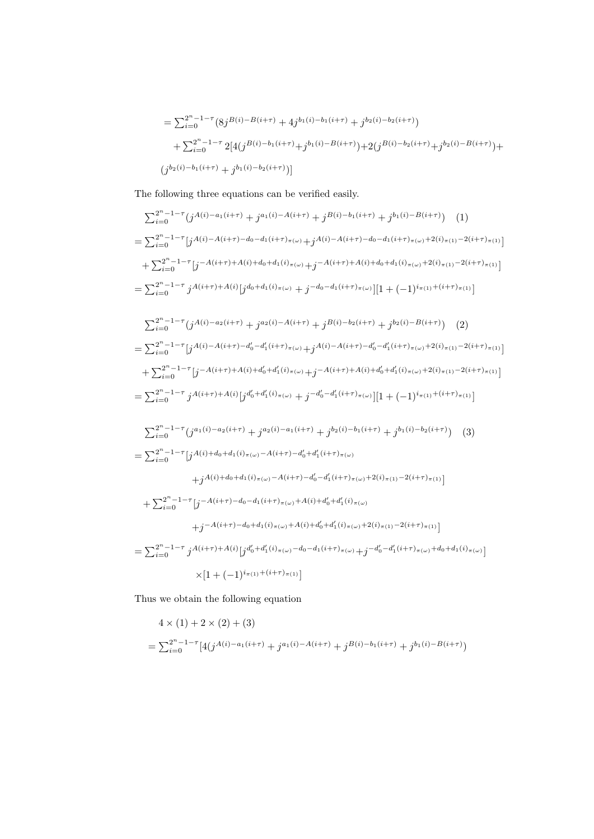$$
= \sum_{i=0}^{2^{n}-1-\tau} (8j^{B(i)-B(i+\tau)} + 4j^{b_{1}(i)-b_{1}(i+\tau)} + j^{b_{2}(i)-b_{2}(i+\tau)})
$$
  
+ 
$$
\sum_{i=0}^{2^{n}-1-\tau} 2[4(j^{B(i)-b_{1}(i+\tau)} + j^{b_{1}(i)-B(i+\tau)}) + 2(j^{B(i)-b_{2}(i+\tau)} + j^{b_{2}(i)-B(i+\tau)}) +
$$
  

$$
(j^{b_{2}(i)-b_{1}(i+\tau)} + j^{b_{1}(i)-b_{2}(i+\tau)})]
$$

The following three equations can be verified easily.

$$
\sum_{i=0}^{2^{n}-1-\tau} (j^{A(i)-a_{1}(i+\tau)} + j^{a_{1}(i)-A(i+\tau)} + j^{B(i)-b_{1}(i+\tau)} + j^{b_{1}(i)-B(i+\tau)}) \quad (1)
$$
\n
$$
= \sum_{i=0}^{2^{n}-1-\tau} [j^{A(i)-A(i+\tau)-d_{0}-d_{1}(i+\tau)}\pi\omega + j^{A(i)-A(i+\tau)-d_{0}-d_{1}(i+\tau)}\pi\omega + 2^{i\pi}j\pi\omega + 2^{i\pi}j\pi\omega + 2^{i\pi}j\pi\omega + 2^{i\pi}j\pi\omega + 2^{i\pi}j\pi\omega + 2^{i\pi}j\pi\omega + 2^{i\pi}j\pi\omega + 2^{i\pi}j\pi\omega + 2^{i\pi}j\pi\omega + 2^{i\pi}j\pi\omega + 2^{i\pi}j\pi\omega + 2^{i\pi}j\pi\omega + 2^{i\pi}j\pi\omega + 2^{i\pi}j\pi\omega + 2^{i\pi}j\pi\omega + 2^{i\pi}j\pi\omega + 2^{i\pi}j\pi\omega + 2^{i\pi}j\pi\omega + 2^{i\pi}j\pi\omega + 2^{i\pi}j\pi\omega + 2^{i\pi}j\pi\omega + 2^{i\pi}j\pi\omega + 2^{i\pi}j\pi\omega + 2^{i\pi}j\pi\omega + 2^{i\pi}j\pi\omega + 2^{i\pi}j\pi\omega + 2^{i\pi}j\pi\omega + 2^{i\pi}j\pi\omega + 2^{i\pi}j\pi\omega + 2^{i\pi}j\pi\omega + 2^{i\pi}j\pi\omega + 2^{i\pi}j\pi\omega + 2^{i\pi}j\pi\omega + 2^{i\pi}j\pi\omega + 2^{i\pi}j\pi\omega + 2^{i\pi}j\pi\omega + 2^{i\pi}j\pi\omega + 2^{i\pi}j\pi\omega + 2^{i\pi}j\pi\omega + 2^{i\pi}j\pi\omega + 2^{i\pi}j\pi\omega + 2^{i\pi}j\pi\omega + 2^{i\pi}j\pi\omega + 2^{i\pi}j\pi\omega + 2^{i\pi}j\pi\omega + 2^{i\pi}j\pi\omega + 2^{i
$$

Thus we obtain the following equation

$$
4 \times (1) + 2 \times (2) + (3)
$$
  
=  $\sum_{i=0}^{2^n - 1 - \tau} [4(j^{A(i) - a_1(i+\tau)} + j^{a_1(i) - A(i+\tau)} + j^{B(i) - b_1(i+\tau)} + j^{b_1(i) - B(i+\tau)})$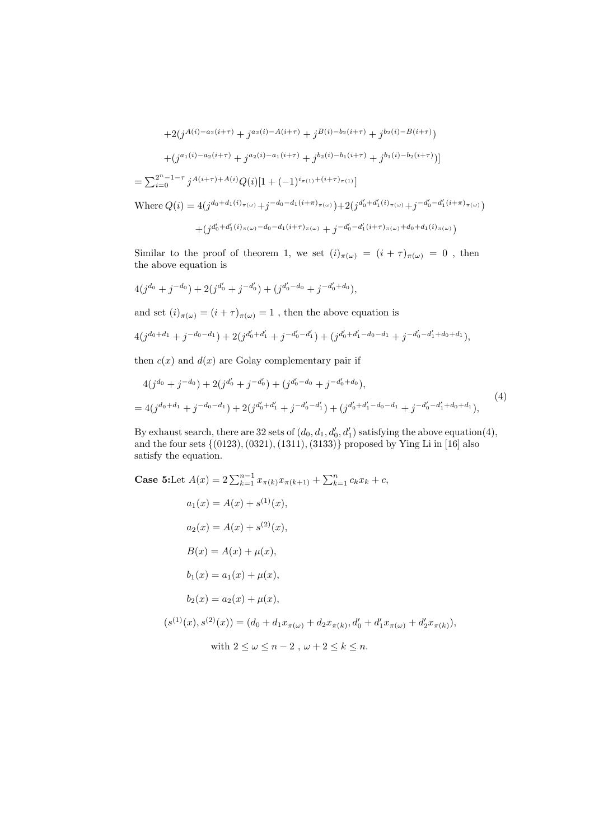$$
+2(j^{A(i)-a_{2}(i+\tau)}+j^{a_{2}(i)-A(i+\tau)}+j^{B(i)-b_{2}(i+\tau)}+j^{b_{2}(i)-B(i+\tau)})
$$

$$
+(j^{a_{1}(i)-a_{2}(i+\tau)}+j^{a_{2}(i)-a_{1}(i+\tau)}+j^{b_{2}(i)-b_{1}(i+\tau)}+j^{b_{1}(i)-b_{2}(i+\tau)})]
$$

$$
=\sum_{i=0}^{2^{n}-1-\tau}j^{A(i+\tau)+A(i)}Q(i)[1+(-1)^{i_{\pi(1)}+(i+\tau)_{\pi(1)}}]
$$
Where  $Q(i) = 4(j^{d_{0}+d_{1}(i)_{\pi(\omega)}+j^{-d_{0}-d_{1}(i+\pi)_{\pi(\omega)}})+2(j^{d'_{0}+d'_{1}(i)_{\pi(\omega)}+j^{-d'_{0}-d'_{1}(i+\pi)_{\pi(\omega)}})$ 

$$
+\big(j^{d'_0+d'_1(i)_\pi} \text{A}^{(i)} \text{A}^{(j)} \text{A}^{(j)}-d_0-d_1(i+\tau)_\pi(\omega)\\+\bigj^{-d'_0-d'_1(i+\tau)_\pi(\omega)}+d_0+d_1(i)_\pi(\omega) \big)
$$

Similar to the proof of theorem 1, we set  $(i)_{\pi(\omega)} = (i + \tau)_{\pi(\omega)} = 0$ , then the above equation is

$$
4(j^{d_0} + j^{-d_0}) + 2(j^{d'_0} + j^{-d'_0}) + (j^{d'_0 - d_0} + j^{-d'_0 + d_0}),
$$

and set  $(i)_{\pi(\omega)} = (i + \tau)_{\pi(\omega)} = 1$ , then the above equation is

$$
4(j^{d_0+d_1}+j^{-d_0-d_1})+2(j^{d'_0+d'_1}+j^{-d'_0-d'_1})+(j^{d'_0+d'_1-d_0-d_1}+j^{-d'_0-d'_1+d_0+d_1}),
$$

then  $c(x)$  and  $d(x)$  are Golay complementary pair if

$$
4(j^{d_0} + j^{-d_0}) + 2(j^{d'_0} + j^{-d'_0}) + (j^{d'_0 - d_0} + j^{-d'_0 + d_0}),
$$
  
= 
$$
4(j^{d_0 + d_1} + j^{-d_0 - d_1}) + 2(j^{d'_0 + d'_1} + j^{-d'_0 - d'_1}) + (j^{d'_0 + d'_1 - d_0 - d_1} + j^{-d'_0 - d'_1 + d_0 + d_1}),
$$

$$
(4)
$$

By exhaust search, there are 32 sets of  $(d_0, d_1, d'_0, d'_1)$  satisfying the above equation(4), and the four sets  $\{(0123), (0321), (1311), (3133)\}\$  proposed by Ying Li in [16] also satisfy the equation.

Case 5: Let 
$$
A(x) = 2 \sum_{k=1}^{n-1} x_{\pi(k)} x_{\pi(k+1)} + \sum_{k=1}^{n} c_k x_k + c
$$
,  
\n $a_1(x) = A(x) + s^{(1)}(x)$ ,  
\n $a_2(x) = A(x) + s^{(2)}(x)$ ,  
\n $B(x) = A(x) + \mu(x)$ ,  
\n $b_1(x) = a_1(x) + \mu(x)$ ,  
\n $b_2(x) = a_2(x) + \mu(x)$ ,  
\n $(s^{(1)}(x), s^{(2)}(x)) = (d_0 + d_1 x_{\pi(\omega)} + d_2 x_{\pi(k)}, d'_0 + d'_1 x_{\pi(\omega)} + d'_2 x_{\pi(k)})$ ,  
\nwith  $2 \le \omega \le n - 2$ ,  $\omega + 2 \le k \le n$ .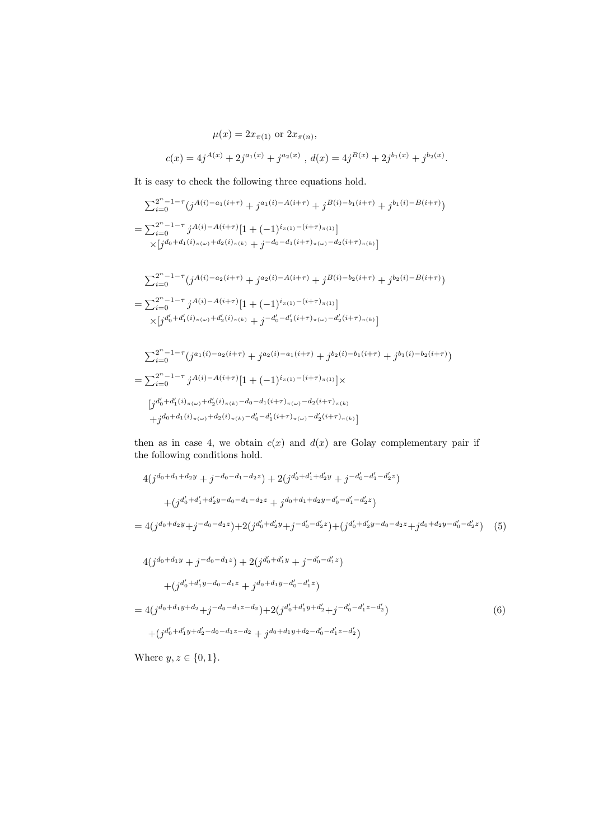$$
\mu(x) = 2x_{\pi(1)} \text{ or } 2x_{\pi(n)},
$$
  

$$
c(x) = 4j^{A(x)} + 2j^{a_1(x)} + j^{a_2(x)}, d(x) = 4j^{B(x)} + 2j^{b_1(x)} + j^{b_2(x)}.
$$

It is easy to check the following three equations hold.

$$
\sum_{i=0}^{2^{n}-1-\tau} (j^{A(i)-a_{1}(i+\tau)}+j^{a_{1}(i)-A(i+\tau)}+j^{B(i)-b_{1}(i+\tau)}+j^{b_{1}(i)-B(i+\tau)})
$$
\n
$$
=\sum_{i=0}^{2^{n}-1-\tau} j^{A(i)-A(i+\tau)}[1+(-1)^{i_{\pi(1)}-(i+\tau)_{\pi(1)}}]\times[j^{d_{0}+d_{1}(i)_{\pi(\omega)}+d_{2}(i)_{\pi(k)}+j^{-d_{0}-d_{1}(i+\tau)_{\pi(\omega)}-d_{2}(i+\tau)_{\pi(k)}}]
$$

$$
\sum_{i=0}^{2^n - 1 - \tau} (j^{A(i) - a_2(i+\tau)} + j^{a_2(i) - A(i+\tau)} + j^{B(i) - b_2(i+\tau)} + j^{b_2(i) - B(i+\tau)})
$$
\n
$$
= \sum_{i=0}^{2^n - 1 - \tau} j^{A(i) - A(i+\tau)} [1 + (-1)^{i_{\pi(1)} - (i+\tau)_{\pi(1)}}]
$$
\n
$$
\times [j^{d'_0 + d'_1(i)_{\pi(\omega)} + d'_2(i)_{\pi(k)}} + j^{-d'_0 - d'_1(i+\tau)_{\pi(\omega)} - d'_2(i+\tau)_{\pi(k)}}]
$$

$$
\sum_{i=0}^{2^n - 1 - \tau} (j^{a_1(i) - a_2(i+\tau)} + j^{a_2(i) - a_1(i+\tau)} + j^{b_2(i) - b_1(i+\tau)} + j^{b_1(i) - b_2(i+\tau)})
$$
\n
$$
= \sum_{i=0}^{2^n - 1 - \tau} j^{A(i) - A(i+\tau)} [1 + (-1)^{i_{\pi(1)} - (i+\tau)_{\pi(1)}}] \times
$$
\n
$$
[j^{d'_0 + d'_1(i)_{\pi(\omega)} + d'_2(i)_{\pi(k)} - d_0 - d_1(i+\tau)_{\pi(\omega)} - d_2(i+\tau)_{\pi(k)}} + j^{d_0 + d_1(i)_{\pi(\omega)} + d_2(i)_{\pi(k)} - d'_0 - d'_1(i+\tau)_{\pi(\omega)} - d'_2(i+\tau)_{\pi(k)}}]
$$

then as in case 4, we obtain  $c(x)$  and  $d(x)$  are Golay complementary pair if the following conditions hold.

$$
4(j^{d_0+d_1+d_2y} + j^{-d_0-d_1-d_2z}) + 2(j^{d'_0+d'_1+d'_2y} + j^{-d'_0-d'_1-d'_2z})
$$
  
+
$$
(j^{d'_0+d'_1+d'_2y-d_0-d_1-d_2z} + j^{d_0+d_1+d_2y-d'_0-d'_1-d'_2z})
$$
  
= 
$$
4(j^{d_0+d_2y} + j^{-d_0-d_2z}) + 2(j^{d'_0+d'_2y} + j^{-d'_0-d'_2z}) + (j^{d'_0+d'_2y-d_0-d_2z} + j^{d_0+d_2y-d'_0-d'_2z})
$$
 (5)  

$$
4(j^{d_0+d_1y} + j^{-d_0-d_1z}) + 2(j^{d'_0+d'_1y} + j^{-d'_0-d'_1z})
$$

$$
+ (j^{d'_0 + d'_1 y - d_0 - d_1 z} + j^{d_0 + d_1 y - d'_0 - d'_1 z})
$$
  
=  $4(j^{d_0 + d_1 y + d_2} + j^{-d_0 - d_1 z - d_2}) + 2(j^{d'_0 + d'_1 y + d'_2} + j^{-d'_0 - d'_1 z - d'_2})$   
+  $(j^{d'_0 + d'_1 y + d'_2 - d_0 - d_1 z - d_2} + j^{d_0 + d_1 y + d_2 - d'_0 - d'_1 z - d'_2})$  (6)

Where  $y, z \in \{0, 1\}$ .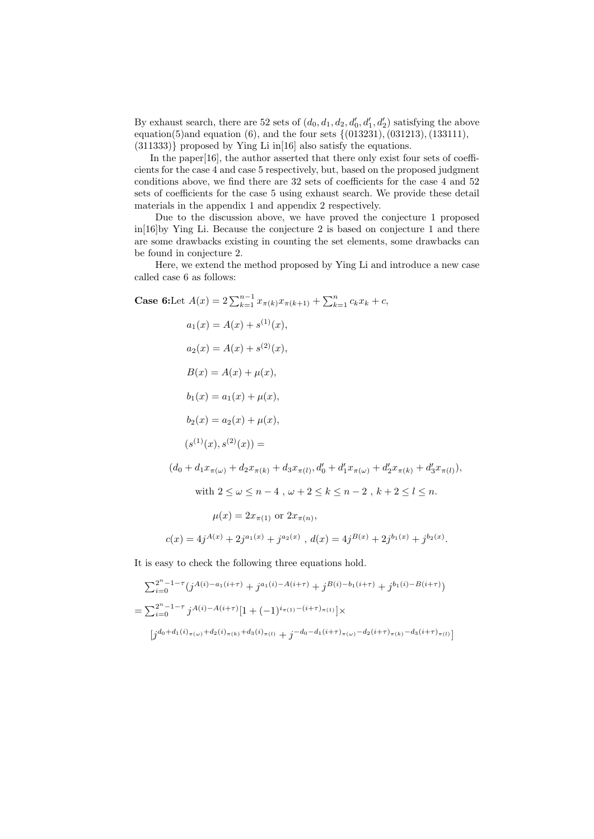By exhaust search, there are 52 sets of  $(d_0, d_1, d_2, d'_0, d'_1, d'_2)$  satisfying the above equation(5)and equation (6), and the four sets  $\{(013231), (031213), (133111),$ (311333)} proposed by Ying Li in[16] also satisfy the equations.

In the paper<sup>[16]</sup>, the author asserted that there only exist four sets of coefficients for the case 4 and case 5 respectively, but, based on the proposed judgment conditions above, we find there are 32 sets of coefficients for the case 4 and 52 sets of coefficients for the case 5 using exhaust search. We provide these detail materials in the appendix 1 and appendix 2 respectively.

Due to the discussion above, we have proved the conjecture 1 proposed in[16]by Ying Li. Because the conjecture 2 is based on conjecture 1 and there are some drawbacks existing in counting the set elements, some drawbacks can be found in conjecture 2.

Here, we extend the method proposed by Ying Li and introduce a new case called case 6 as follows:

Case 6:Let 
$$
A(x) = 2 \sum_{k=1}^{n-1} x_{\pi(k)} x_{\pi(k+1)} + \sum_{k=1}^{n} c_k x_k + c
$$
,  
\n $a_1(x) = A(x) + s^{(1)}(x)$ ,  
\n $a_2(x) = A(x) + s^{(2)}(x)$ ,  
\n $B(x) = A(x) + \mu(x)$ ,  
\n $b_1(x) = a_1(x) + \mu(x)$ ,  
\n $b_2(x) = a_2(x) + \mu(x)$ ,  
\n $(s^{(1)}(x), s^{(2)}(x)) =$   
\n $(d_0 + d_1 x_{\pi(\omega)} + d_2 x_{\pi(k)} + d_3 x_{\pi(l)}, d'_0 + d'_1 x_{\pi(\omega)} + d'_2 x_{\pi(k)} + d'_3 x_{\pi(l)})$ ,  
\nwith  $2 \le \omega \le n - 4$ ,  $\omega + 2 \le k \le n - 2$ ,  $k + 2 \le l \le n$ .  
\n $\mu(x) = 2x_{\pi(1)}$  or  $2x_{\pi(n)}$ ,  
\n $c(x) = 4j^{A(x)} + 2j^{a_1(x)} + j^{a_2(x)}$ ,  $d(x) = 4j^{B(x)} + 2j^{b_1(x)} + j^{b_2(x)}$ .

It is easy to check the following three equations hold.

$$
\sum_{i=0}^{2^n - 1 - \tau} (j^{A(i) - a_1(i+\tau)} + j^{a_1(i) - A(i+\tau)} + j^{B(i) - b_1(i+\tau)} + j^{b_1(i) - B(i+\tau)})
$$
\n
$$
= \sum_{i=0}^{2^n - 1 - \tau} j^{A(i) - A(i+\tau)} [1 + (-1)^{i_{\pi(1)} - (i+\tau)_{\pi(1)}}] \times
$$
\n
$$
[j^{d_0 + d_1(i)_{\pi(\omega)} + d_2(i)_{\pi(k)} + d_3(i)_{\pi(l)}} + j^{-d_0 - d_1(i+\tau)_{\pi(\omega)} - d_2(i+\tau)_{\pi(k)} - d_3(i+\tau)_{\pi(l)}}]
$$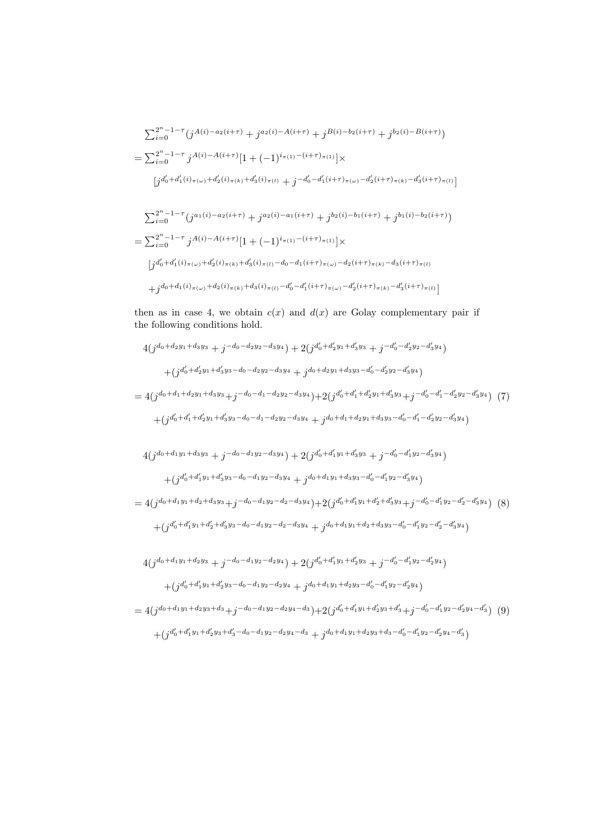$$
\sum_{i=0}^{2^{n}-1-\tau} (j^{A(i)-a_{2}(i+\tau)}+j^{a_{2}(i)-A(i+\tau)}+j^{B(i)-b_{2}(i+\tau)}+j^{b_{2}(i)-B(i+\tau)})
$$
\n
$$
=\sum_{i=0}^{2^{n}-1-\tau} j^{A(i)-A(i+\tau)}[1+(-1)^{i_{\pi(1)}-(i+\tau)_{\pi(1)}}] \times
$$
\n
$$
[j^{d'_{0}+d'_{1}(i)_{\pi(\omega)}+d'_{2}(i)_{\pi(k)}+d'_{3}(i)_{\pi(l)}+j^{-d'_{0}-d'_{1}(i+\tau)_{\pi(\omega)}-d'_{2}(i+\tau)_{\pi(k)}-d'_{3}(i+\tau)_{\pi(l)}}]
$$
\n
$$
\sum_{i=0}^{2^{n}-1-\tau} (j^{a_{1}(i)-a_{2}(i+\tau)}+j^{a_{2}(i)-a_{1}(i+\tau)}+j^{b_{2}(i)-b_{1}(i+\tau)}+j^{b_{1}(i)-b_{2}(i+\tau)})
$$
\n
$$
=\sum_{i=0}^{2^{n}-1-\tau} j^{A(i)-A(i+\tau)}[1+(-1)^{i_{\pi(1)}-(i+\tau)_{\pi(1)}}] \times
$$
\n
$$
[j^{d'_{0}+d'_{1}(i)_{\pi(\omega)}+d'_{2}(i)_{\pi(k)}+d'_{3}(i)_{\pi(l)}-d_{0}-d_{1}(i+\tau)_{\pi(\omega)}-d_{2}(i+\tau)_{\pi(k)}-d_{3}(i+\tau)_{\pi(l)}
$$
\n
$$
+j^{d_{0}+d_{1}(i)_{\pi(\omega)}+d_{2}(i)_{\pi(k)}+d_{3}(i)_{\pi(l)}-d'_{0}-d'_{1}(i+\tau)_{\pi(\omega)}-d'_{2}(i+\tau)_{\pi(k)}-d'_{3}(i+\tau)_{\pi(l)}
$$

then as in case 4, we obtain  $c(x)$  and  $d(x)$  are Golay complementary pair if the following conditions hold.

$$
4(j^{d_0+d_2y_1+d_3y_3}+j^{-d_0-d_2y_2-d_3y_4})+2(j^{d'_0+d'_2y_1+d'_3y_3}+j^{-d'_0-d'_2y_2-d'_3y_4})
$$
  
+
$$
(j^{d'_0+d'_2y_1+d'_3y_3-d_0-d_2y_2-d_3y_4}+j^{d_0+d_2y_1+d_3y_3-d'_0-d'_2y_2-d'_3y_4})
$$

 $=4(j^{d_0+d_1+d_2y_1+d_3y_3}+j^{-d_0-d_1-d_2y_2-d_3y_4})+2(j^{d'_0+d'_1+d'_2y_1+d'_3y_3}+j^{-d'_0-d'_1-d'_2y_2-d'_3y_4})$ (7)  $+(j\frac{d'_0+d'_1+d'_2y_1+d'_3y_3-d_0-d_1-d_2y_2-d_3y_4}{d_0+d_1+d_2y_1+d_3y_3-d'_0-d'_1-d'_2y_2-d'_3y_4} )$ 

$$
4(j^{d_0+d_1y_1+d_3y_3}+j^{-d_0-d_1y_2-d_3y_4})+2(j^{d'_0+d'_1y_1+d'_3y_3}+j^{-d'_0-d'_1y_2-d'_3y_4})
$$
  
+
$$
(j^{d'_0+d'_1y_1+d'_3y_3-d_0-d_1y_2-d_3y_4}+j^{d_0+d_1y_1+d_3y_3-d'_0-d'_1y_2-d'_3y_4})
$$

$$
=4(j^{d_0+d_1y_1+d_2+d_3y_3}+j^{-d_0-d_1y_2-d_2-d_3y_4})+2(j^{d'_0+d'_1y_1+d'_2+d'_3y_3}+j^{-d'_0-d'_1y_2-d'_2-d'_3y_4})
$$
(8)  
+
$$
(j^{d'_0+d'_1y_1+d'_2+d'_3y_3-d_0-d_1y_2-d_2-d_3y_4}+j^{d_0+d_1y_1+d_2+d_3y_3-d'_0-d'_1y_2-d'_2-d'_3y_4})
$$

$$
\begin{aligned} &4(j^{d_0+d_1y_1+d_2y_3}+j^{-d_0-d_1y_2-d_2y_4})+2(j^{d_0'+d_1'y_1+d_2'y_3}+j^{-d_0'-d_1'y_2-d_2'y_4})\\ &+(j^{d_0'+d_1'y_1+d_2'y_3-d_0-d_1y_2-d_2y_4}+j^{d_0+d_1y_1+d_2y_3-d_0'-d_1'y_2-d_2'y_4})\end{aligned}
$$

$$
=4(j^{d_0+d_1y_1+d_2y_3+d_3}+j^{-d_0-d_1y_2-d_2y_4-d_3})+2(j^{d'_0+d'_1y_1+d'_2y_3+d'_3}+j^{-d'_0-d'_1y_2-d'_2y_4-d'_3})
$$
(9)  
+
$$
(j^{d'_0+d'_1y_1+d'_2y_3+d'_3-d_0-d_1y_2-d_2y_4-d_3}+j^{d_0+d_1y_1+d_2y_3+d_3-d'_0-d'_1y_2-d'_2y_4-d'_3})
$$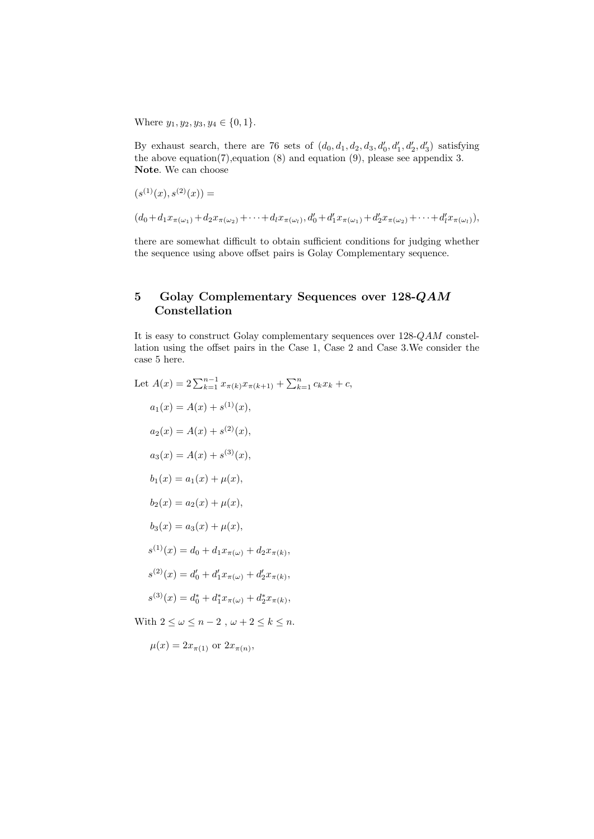Where  $y_1, y_2, y_3, y_4 \in \{0, 1\}.$ 

By exhaust search, there are 76 sets of  $(d_0, d_1, d_2, d_3, d'_0, d'_1, d'_2, d'_3)$  satisfying the above equation(7),equation (8) and equation (9), please see appendix 3. Note. We can choose

$$
(s^{(1)}(x), s^{(2)}(x)) =
$$

 $(d_0 + d_1 x_{\pi(\omega_1)} + d_2 x_{\pi(\omega_2)} + \cdots + d_l x_{\pi(\omega_l)}, d'_0 + d'_1 x_{\pi(\omega_1)} + d'_2 x_{\pi(\omega_2)} + \cdots + d'_l x_{\pi(\omega_l)}),$ 

there are somewhat difficult to obtain sufficient conditions for judging whether the sequence using above offset pairs is Golay Complementary sequence.

#### 5 Golay Complementary Sequences over 128-QAM Constellation

It is easy to construct Golay complementary sequences over 128-QAM constellation using the offset pairs in the Case 1, Case 2 and Case 3.We consider the case 5 here.

Let 
$$
A(x) = 2 \sum_{k=1}^{n-1} x_{\pi(k)} x_{\pi(k+1)} + \sum_{k=1}^{n} c_k x_k + c
$$
,  
\n $a_1(x) = A(x) + s^{(1)}(x)$ ,  
\n $a_2(x) = A(x) + s^{(2)}(x)$ ,  
\n $a_3(x) = A(x) + s^{(3)}(x)$ ,  
\n $b_1(x) = a_1(x) + \mu(x)$ ,  
\n $b_2(x) = a_2(x) + \mu(x)$ ,  
\n $b_3(x) = a_3(x) + \mu(x)$ ,  
\n $s^{(1)}(x) = d_0 + d_1 x_{\pi(\omega)} + d_2 x_{\pi(k)}$ ,  
\n $s^{(2)}(x) = d'_0 + d'_1 x_{\pi(\omega)} + d'_2 x_{\pi(k)}$ ,  
\n $s^{(3)}(x) = d_0^* + d_1^* x_{\pi(\omega)} + d_2^* x_{\pi(k)}$ ,  
\nWith  $2 \le \omega \le n - 2$ ,  $\omega + 2 \le k \le n$ .

 $\mu(x) = 2x_{\pi(1)}$  or  $2x_{\pi(n)}$ ,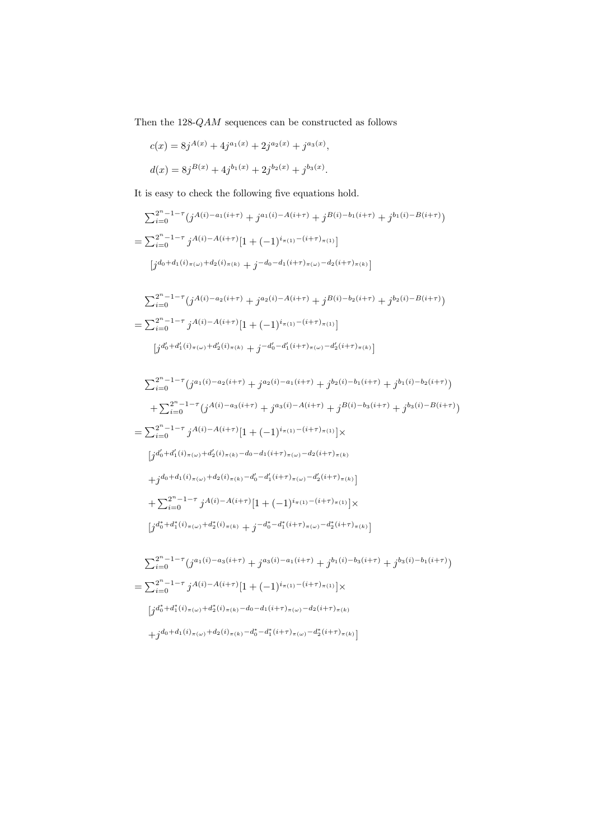Then the  $128\text{-}QAM$  sequences can be constructed as follows

$$
c(x) = 8j^{A(x)} + 4j^{a_1(x)} + 2j^{a_2(x)} + j^{a_3(x)},
$$
  

$$
d(x) = 8j^{B(x)} + 4j^{b_1(x)} + 2j^{b_2(x)} + j^{b_3(x)}.
$$

It is easy to check the following five equations hold.

$$
\sum_{i=0}^{2^n - 1 - \tau} (j^{A(i) - a_1(i+\tau)} + j^{a_1(i) - A(i+\tau)} + j^{B(i) - b_1(i+\tau)} + j^{b_1(i) - B(i+\tau)})
$$
  
= 
$$
\sum_{i=0}^{2^n - 1 - \tau} j^{A(i) - A(i+\tau)} [1 + (-1)^{i_{\pi(1)} - (i+\tau)_{\pi(1)}}]
$$
  

$$
[j^{d_0 + d_1(i)_{\pi(\omega)} + d_2(i)_{\pi(k)}} + j^{-d_0 - d_1(i+\tau)_{\pi(\omega)} - d_2(i+\tau)_{\pi(k)}}]
$$

$$
\sum_{i=0}^{2^n - 1 - \tau} (j^{A(i) - a_2(i+\tau)} + j^{a_2(i) - A(i+\tau)} + j^{B(i) - b_2(i+\tau)} + j^{b_2(i) - B(i+\tau)})
$$
  
= 
$$
\sum_{i=0}^{2^n - 1 - \tau} j^{A(i) - A(i+\tau)} [1 + (-1)^{i_{\pi(1)} - (i+\tau)_{\pi(1)}}]
$$
  
[
$$
j^{d'_0 + d'_1(i)_{\pi(\omega)} + d'_2(i)_{\pi(k)} + j^{-d'_0 - d'_1(i+\tau)_{\pi(\omega)} - d'_2(i+\tau)_{\pi(k)}}]
$$

$$
\sum_{i=0}^{2^{n}-1-\tau} (j^{a_{1}(i)-a_{2}(i+\tau)} + j^{a_{2}(i)-a_{1}(i+\tau)} + j^{b_{2}(i)-b_{1}(i+\tau)} + j^{b_{1}(i)-b_{2}(i+\tau)})
$$
\n
$$
+ \sum_{i=0}^{2^{n}-1-\tau} (j^{A(i)-a_{3}(i+\tau)} + j^{a_{3}(i)-A(i+\tau)} + j^{B(i)-b_{3}(i+\tau)} + j^{b_{3}(i)-B(i+\tau)})
$$
\n
$$
= \sum_{i=0}^{2^{n}-1-\tau} j^{A(i)-A(i+\tau)} [1 + (-1)^{i_{\pi(1)}-(i+\tau)_{\pi(1)}}] \times
$$
\n
$$
[j^{d'_{0}+d'_{1}(i)_{\pi(\omega)}+d'_{2}(i)_{\pi(k)}-d_{0}-d_{1}(i+\tau)_{\pi(\omega)}-d_{2}(i+\tau)_{\pi(k)}}]
$$
\n
$$
+j^{d_{0}+d_{1}(i)_{\pi(\omega)}+d_{2}(i)_{\pi(k)}-d'_{0}-d'_{1}(i+\tau)_{\pi(\omega)}-d'_{2}(i+\tau)_{\pi(k)}]
$$
\n
$$
+ \sum_{i=0}^{2^{n}-1-\tau} j^{A(i)-A(i+\tau)} [1 + (-1)^{i_{\pi(1)}-(i+\tau)_{\pi(1)}}] \times
$$
\n
$$
[j^{d_{0}^{*}+d_{1}^{*}(i)_{\pi(\omega)}+d_{2}^{*}(i)_{\pi(k)}+j^{-d_{0}^{*}-d_{1}^{*}(i+\tau)_{\pi(\omega)}-d_{2}^{*}(i+\tau)_{\pi(k)}}]
$$
\n
$$
\sum_{i=0}^{2^{n}-1-\tau} (j^{a_{1}(i)-a_{3}(i+\tau)} + j^{a_{3}(i)-a_{1}(i+\tau)} + j^{b_{1}(i)-b_{3}(i+\tau)} + j^{b_{3}(i)-b_{1}(i+\tau)})
$$
\n
$$
= \sum_{i=0}^{2^{n}-1-\tau} j^{A(i)-A(i+\tau)} [1 + (-1)^{i_{\pi(1)}-(i+\tau)_{\pi(1)}}] \times
$$

 $\int j\frac{d_0^*}{4} + d_1^*(i)_{\pi(\omega)} + d_2^*(i)_{\pi(k)} - d_0 - d_1(i+\tau)_{\pi(\omega)} - d_2(i+\tau)_{\pi(k)}$ 

 $+j d_0+d_1(i)_{\pi(\omega)}+d_2(i)_{\pi(k)}-d_0^*-d_1^*(i+\tau)_{\pi(\omega)}-d_2^*(i+\tau)_{\pi(k)}$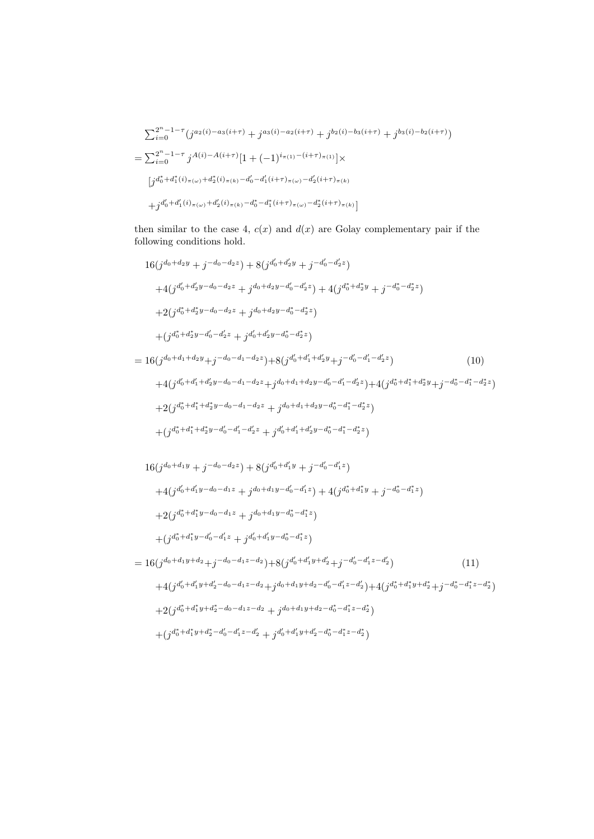$$
\sum_{i=0}^{2^n - 1 - \tau} (j^{a_2(i) - a_3(i+\tau)} + j^{a_3(i) - a_2(i+\tau)} + j^{b_2(i) - b_3(i+\tau)} + j^{b_3(i) - b_2(i+\tau)})
$$
\n
$$
= \sum_{i=0}^{2^n - 1 - \tau} j^{A(i) - A(i+\tau)} [1 + (-1)^{i_{\pi(1)} - (i+\tau)_{\pi(1)}}] \times
$$
\n
$$
[j^{d_0^* + d_1^*(i)_{\pi(\omega)} + d_2^*(i)_{\pi(k)} - d_0' - d_1'(i+\tau)_{\pi(\omega)} - d_2'(i+\tau)_{\pi(k)}} + j^{d_0' + d_1'(i)_{\pi(\omega)} + d_2'(i)_{\pi(k)} - d_0^*(i+\tau)_{\pi(\omega)} - d_2^*(i+\tau)_{\pi(k)}}]
$$

then similar to the case 4,  $c(x)$  and  $d(x)$  are Golay complementary pair if the following conditions hold.

$$
16(j^{d_0+d_2y} + j^{-d_0-d_2z}) + 8(j^{d'_0+d'_2y} + j^{-d'_0-d'_2z})
$$
  
+4(j^{d'\_0+d'\_2y-d\_0-d\_2z} + j^{d\_0+d\_2y-d'\_0-d'\_2z}) + 4(j^{d\_0^\*+d\_2^\*y} + j^{-d\_0^\*-d\_2^\*z})  
+2(j^{d\_0^\*+d\_2^\*y-d\_0-d\_2z} + j^{d\_0+d\_2y-d\_0^\*-d\_2^\*z})  
+(j^{d\_0^\*+d\_2^\*y-d'\_0-d'\_2z} + j^{d'\_0+d'\_2y-d\_0^\*-d\_2^\*z})

$$
= 16(j^{d_0+d_1+d_2y}+j^{-d_0-d_1-d_2z})+8(j^{d'_0+d'_1+d'_2y}+j^{-d'_0-d'_1-d'_2z})
$$
\n
$$
+4(j^{d'_0+d'_1+d'_2y-d_0-d_1-d_2z}+j^{d_0+d_1+d_2y-d'_0-d'_1-d'_2z})+4(j^{d_0^*+d_1^*+d_2^*y}+j^{-d_0^*-d_1^*-d_2^*z})
$$
\n
$$
(10)
$$

$$
+2(jd_0^* + d_1^* + d_2^*y - d_0 - d_1 - d_2z + jd_0 + d_1 + d_2y - d_0^* - d_1^* - d_2^*z)
$$
  
+
$$
(j d_0^* + d_1^* + d_2^*y - d_0' - d_1' - d_2'z + jd_0' + d_1' + d_2'y - d_0^* - d_1^* - d_2^*z)
$$

$$
16(j^{d_0+d_1y} + j^{-d_0-d_2z}) + 8(j^{d'_0+d'_1y} + j^{-d'_0-d'_1z})
$$
  
\n
$$
+ 4(j^{d'_0+d'_1y-d_0-d_1z} + j^{d_0+d_1y-d'_0-d'_1z}) + 4(j^{d^*_0+d^*_1y} + j^{-d^*_0-d^*_1z})
$$
  
\n
$$
+ 2(j^{d^*_0+d^*_1y-d_0-d_1z} + j^{d_0+d_1y-d^*_0-d^*_1z})
$$
  
\n
$$
+ (j^{d^*_0+d^*_1y-d'_0-d'_1z} + j^{d'_0+d'_1y-d^*_0-d^*_1z})
$$
  
\n
$$
= 16(j^{d_0+d_1y+d_2} + j^{-d_0-d_1z-d_2}) + 8(j^{d'_0+d'_1y+d'_2} + j^{-d'_0-d'_1z-d'_2})
$$
  
\n
$$
+ 4(j^{d'_0+d'_1y+d'_2-d_0-d_1z-d_2} + j^{d_0+d_1y+d_2-d'_0-d'_1z-d'_2}) + 4(j^{d^*_0+d^*_1y+d^*_2} + j^{-d^*_0-d^*_1z-d^*_2})
$$
  
\n
$$
+ 2(j^{d^*_0+d^*_1y+d^*_2-d_0-d_1z-d_2} + j^{d_0+d_1y+d_2-d^*_0-d^*_1z-d^*_2})
$$
  
\n
$$
+ (j^{d^*_0+d^*_1y+d^*_2-d'_0-d'_1z-d'_2} + j^{d'_0+d'_1y+d'_2-d^*_0-d^*_1z-d^*_2})
$$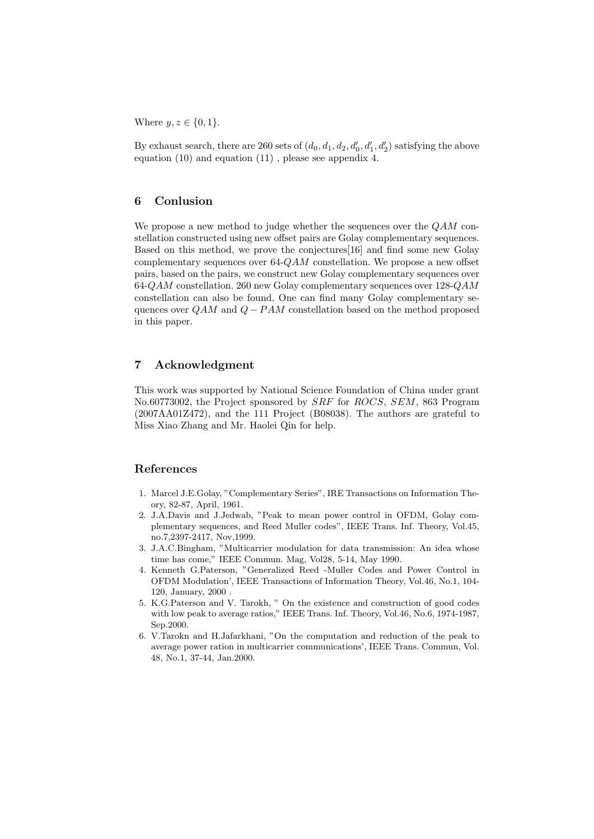Where  $y, z \in \{0, 1\}.$ 

By exhaust search, there are 260 sets of  $(d_0, d_1, d_2, d'_0, d'_1, d'_2)$  satisfying the above equation (10) and equation (11) , please see appendix 4.

#### 6 Conlusion

We propose a new method to judge whether the sequences over the  $QAM$  constellation constructed using new offset pairs are Golay complementary sequences. Based on this method, we prove the conjectures[16] and find some new Golay complementary sequences over  $64-QAM$  constellation. We propose a new offset pairs, based on the pairs, we construct new Golay complementary sequences over 64-QAM constellation. 260 new Golay complementary sequences over 128-QAM constellation can also be found. One can find many Golay complementary sequences over  $QAM$  and  $Q - PAM$  constellation based on the method proposed in this paper.

#### 7 Acknowledgment

This work was supported by National Science Foundation of China under grant No.60773002, the Project sponsored by SRF for ROCS, SEM, 863 Program (2007AA01Z472), and the 111 Project (B08038). The authors are grateful to Miss Xiao Zhang and Mr. Haolei Qin for help.

#### References

- 1. Marcel J.E.Golay, "Complementary Series", IRE Transactions on Information Theory, 82-87, April, 1961.
- 2. J.A.Davis and J.Jedwab, "Peak to mean power control in OFDM, Golay complementary sequences, and Reed Muller codes", IEEE Trans. Inf. Theory, Vol.45, no.7,2397-2417, Nov,1999.
- 3. J.A.C.Bingham, "Multicarrier modulation for data transmission: An idea whose time has come," IEEE Commun. Mag, Vol28, 5-14, May 1990.
- 4. Kenneth G.Paterson, "Generalized Reed -Muller Codes and Power Control in OFDM Modulation', IEEE Transactions of Information Theory, Vol.46, No.1, 104- 120, January, 2000 .
- 5. K.G.Paterson and V. Tarokh, " On the existence and construction of good codes with low peak to average ratios," IEEE Trans. Inf. Theory, Vol.46, No.6, 1974-1987, Sep.2000.
- 6. V.Tarokn and H.Jafarkhani, "On the computation and reduction of the peak to average power ration in multicarrier communications', IEEE Trans. Commun, Vol. 48, No.1, 37-44, Jan.2000.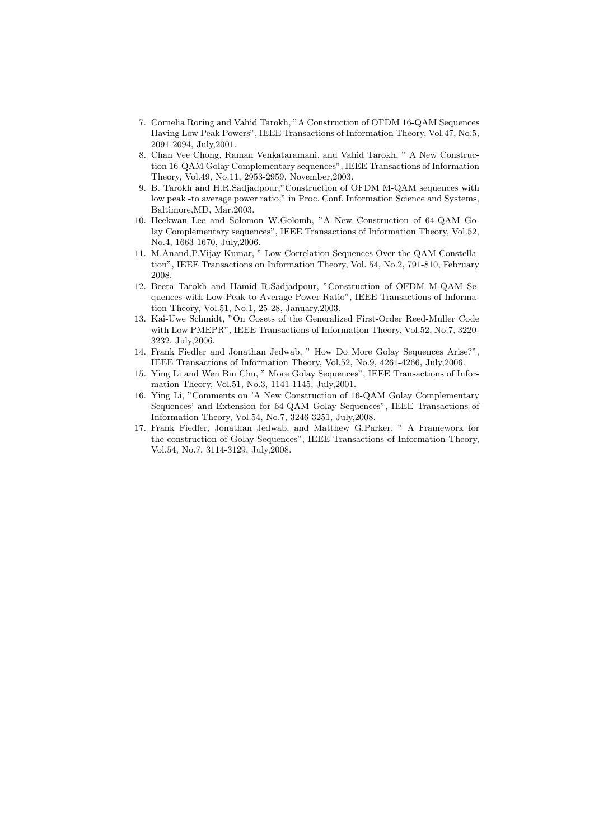- 7. Cornelia Roring and Vahid Tarokh, "A Construction of OFDM 16-QAM Sequences Having Low Peak Powers", IEEE Transactions of Information Theory, Vol.47, No.5, 2091-2094, July,2001.
- 8. Chan Vee Chong, Raman Venkataramani, and Vahid Tarokh, " A New Construction 16-QAM Golay Complementary sequences", IEEE Transactions of Information Theory, Vol.49, No.11, 2953-2959, November,2003.
- 9. B. Tarokh and H.R.Sadjadpour,"Construction of OFDM M-QAM sequences with low peak -to average power ratio," in Proc. Conf. Information Science and Systems, Baltimore,MD, Mar.2003.
- 10. Heekwan Lee and Solomon W.Golomb, "A New Construction of 64-QAM Golay Complementary sequences", IEEE Transactions of Information Theory, Vol.52, No.4, 1663-1670, July,2006.
- 11. M.Anand,P.Vijay Kumar, " Low Correlation Sequences Over the QAM Constellation", IEEE Transactions on Information Theory, Vol. 54, No.2, 791-810, February 2008.
- 12. Beeta Tarokh and Hamid R.Sadjadpour, "Construction of OFDM M-QAM Sequences with Low Peak to Average Power Ratio", IEEE Transactions of Information Theory, Vol.51, No.1, 25-28, January,2003.
- 13. Kai-Uwe Schmidt, "On Cosets of the Generalized First-Order Reed-Muller Code with Low PMEPR", IEEE Transactions of Information Theory, Vol.52, No.7, 3220- 3232, July,2006.
- 14. Frank Fiedler and Jonathan Jedwab, " How Do More Golay Sequences Arise?", IEEE Transactions of Information Theory, Vol.52, No.9, 4261-4266, July,2006.
- 15. Ying Li and Wen Bin Chu, " More Golay Sequences", IEEE Transactions of Information Theory, Vol.51, No.3, 1141-1145, July,2001.
- 16. Ying Li, "Comments on 'A New Construction of 16-QAM Golay Complementary Sequences' and Extension for 64-QAM Golay Sequences", IEEE Transactions of Information Theory, Vol.54, No.7, 3246-3251, July,2008.
- 17. Frank Fiedler, Jonathan Jedwab, and Matthew G.Parker, " A Framework for the construction of Golay Sequences", IEEE Transactions of Information Theory, Vol.54, No.7, 3114-3129, July,2008.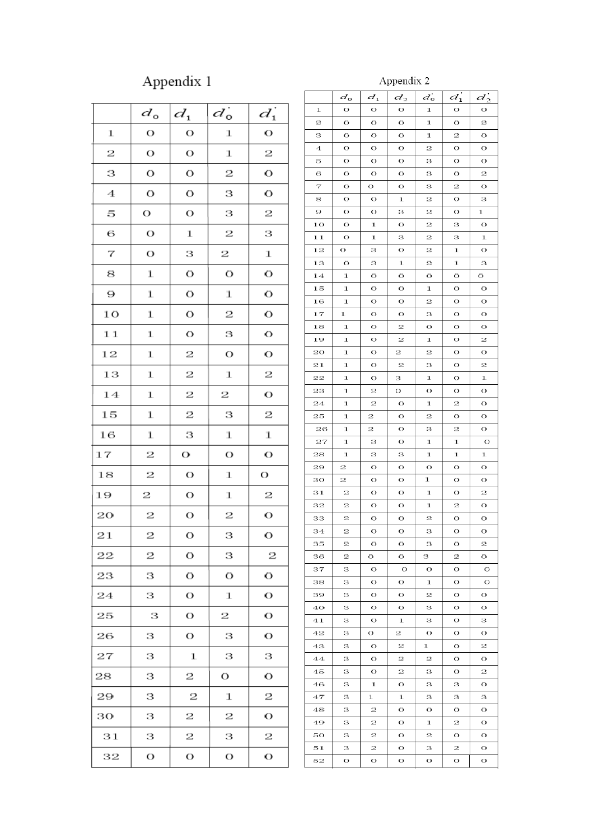## Appendix  $\boldsymbol{1}$

## Appendix  $2$

|                  | $d_{o}$        | $d_1$ | $d_0^{\dagger}$ | $d_1^{\prime}$          |
|------------------|----------------|-------|-----------------|-------------------------|
| $\bf{1}$         | O              | O     | 1               | O                       |
| 2                | $\overline{O}$ | O     | $\bf 1$         | $\overline{\mathbf{c}}$ |
| З                | O              | O     | 2               | O                       |
| 4                | O              | O     | з               | O                       |
| 5                | O              | O     | З               | $\overline{\mathbf{2}}$ |
| 6                | O              | 1     | 2               | З                       |
| $\boldsymbol{7}$ | O              | З     | 2               | $\bf 1$                 |
| 8                | 1              | O     | Ö               | O                       |
| 9                | 1              | O     | 1               | O                       |
| 1 <sub>O</sub>   | 1              | O     | 2               | О                       |
| $1\,1$           | 1              | O     | З               | O                       |
| 12               | 1              | 2     | O               | O                       |
| 13               | 1              | 2     | 1               | $\overline{\mathbf{2}}$ |
| 14               | 1              | 2     | 2               | O                       |
| 15               | 1              | 2     | З               | 2                       |
| 16               | 1              | З     | 1               | $\bf 1$                 |
| 17               | 2              | О     | O               | $\mathbf O$             |
| 18               | 2              | O     | 1               | О                       |
| 19               | 2              | О     | 1               | 2                       |
| 20               | 2              | О     | 2               | O                       |
| 21               | $\overline{c}$ | Ö     | З               | O                       |
| 22               | 2              | O     | з               | 2                       |
| 23               | З              | O     | О               | O                       |
| 24               | З              | О     | 1               | О                       |
| 25               | З              | О     | 2               | О                       |
| 26               | З              | О     | з               | О                       |
| 27               | З              | 1     | з               | з                       |
| 28               | з              | 2     | О               | O                       |
| 29               | З              | 2     | 1               | 2                       |
| 30               | З              | 2     | 2               | О                       |
| 31               | З              | 2     | з               | 2                       |
| 32               | О              | О     | О               | О                       |
|                  |                |       |                 |                         |

| 1<br>O<br>О<br>О<br>О<br>1<br>О<br>z<br>O<br>1<br>2<br>O<br>O<br>O<br>O<br>O<br>з<br>O<br>O<br>1<br>2<br>4<br>O<br>2<br>O<br>O<br>O<br>O<br>Ō<br>O<br>5<br>O<br>O<br>з<br>O<br>2<br>6<br>O<br>O<br>O<br>з<br>O<br>7<br>О<br>О<br>О<br>2<br>О<br>з<br>з<br>8<br>О<br>О<br>1<br>2<br>О<br>9<br>О<br>О<br>з<br>2<br>О<br>1<br>О<br>О<br>10<br>О<br>1<br>2<br>з<br>11<br>О<br>1<br>з<br>2<br>з<br>1<br>O<br>12<br>О<br>з<br>2<br>1<br>О<br>13<br>O<br>з<br>1<br>2<br>1<br>з<br>Ō<br>14<br>1<br>O<br>O<br>O<br>O<br>15<br>O<br>O<br>1<br>O<br>1<br>O<br>16<br>O<br>2<br>O<br>1<br>О<br>О<br>17<br>1<br>О<br>О<br>з<br>О<br>О<br>2<br>18<br>1<br>О<br>О<br>О<br>О<br>2<br>2<br>19<br>1<br>О<br>1<br>О<br>20<br>1<br>О<br>2<br>2<br>О<br>O<br>2<br>2<br>21<br>1<br>О<br>з<br>О<br>22<br>1<br>1<br>з<br>1<br>O<br>O<br>23<br>1<br>2<br>О<br>O<br>O<br>O<br>24<br>2<br>O<br>2<br>O<br>1<br>1<br>25<br>2<br>O<br>2<br>O<br>1<br>O<br>26<br>2<br>O<br>2<br>O<br>1<br>з<br>27<br>1<br>з<br>O<br>1<br>1<br>O<br>28<br>з<br>1<br>з<br>1<br>1<br>1<br>2<br>O<br>O<br>O<br>29<br>О<br>О<br>1<br>зо<br>2<br>О<br>О<br>О<br>О<br>O<br>2<br>31<br>2<br>О<br>1<br>О |
|-------------------------------------------------------------------------------------------------------------------------------------------------------------------------------------------------------------------------------------------------------------------------------------------------------------------------------------------------------------------------------------------------------------------------------------------------------------------------------------------------------------------------------------------------------------------------------------------------------------------------------------------------------------------------------------------------------------------------------------------------------------------------------------------------------------------------------------------------------------------------------------------------------------------------------------------------------------------------------------------------------------------------------------------------------------------------------------------------------------------------------------------------|
|                                                                                                                                                                                                                                                                                                                                                                                                                                                                                                                                                                                                                                                                                                                                                                                                                                                                                                                                                                                                                                                                                                                                                 |
|                                                                                                                                                                                                                                                                                                                                                                                                                                                                                                                                                                                                                                                                                                                                                                                                                                                                                                                                                                                                                                                                                                                                                 |
|                                                                                                                                                                                                                                                                                                                                                                                                                                                                                                                                                                                                                                                                                                                                                                                                                                                                                                                                                                                                                                                                                                                                                 |
|                                                                                                                                                                                                                                                                                                                                                                                                                                                                                                                                                                                                                                                                                                                                                                                                                                                                                                                                                                                                                                                                                                                                                 |
|                                                                                                                                                                                                                                                                                                                                                                                                                                                                                                                                                                                                                                                                                                                                                                                                                                                                                                                                                                                                                                                                                                                                                 |
|                                                                                                                                                                                                                                                                                                                                                                                                                                                                                                                                                                                                                                                                                                                                                                                                                                                                                                                                                                                                                                                                                                                                                 |
|                                                                                                                                                                                                                                                                                                                                                                                                                                                                                                                                                                                                                                                                                                                                                                                                                                                                                                                                                                                                                                                                                                                                                 |
|                                                                                                                                                                                                                                                                                                                                                                                                                                                                                                                                                                                                                                                                                                                                                                                                                                                                                                                                                                                                                                                                                                                                                 |
|                                                                                                                                                                                                                                                                                                                                                                                                                                                                                                                                                                                                                                                                                                                                                                                                                                                                                                                                                                                                                                                                                                                                                 |
|                                                                                                                                                                                                                                                                                                                                                                                                                                                                                                                                                                                                                                                                                                                                                                                                                                                                                                                                                                                                                                                                                                                                                 |
|                                                                                                                                                                                                                                                                                                                                                                                                                                                                                                                                                                                                                                                                                                                                                                                                                                                                                                                                                                                                                                                                                                                                                 |
|                                                                                                                                                                                                                                                                                                                                                                                                                                                                                                                                                                                                                                                                                                                                                                                                                                                                                                                                                                                                                                                                                                                                                 |
|                                                                                                                                                                                                                                                                                                                                                                                                                                                                                                                                                                                                                                                                                                                                                                                                                                                                                                                                                                                                                                                                                                                                                 |
|                                                                                                                                                                                                                                                                                                                                                                                                                                                                                                                                                                                                                                                                                                                                                                                                                                                                                                                                                                                                                                                                                                                                                 |
|                                                                                                                                                                                                                                                                                                                                                                                                                                                                                                                                                                                                                                                                                                                                                                                                                                                                                                                                                                                                                                                                                                                                                 |
|                                                                                                                                                                                                                                                                                                                                                                                                                                                                                                                                                                                                                                                                                                                                                                                                                                                                                                                                                                                                                                                                                                                                                 |
|                                                                                                                                                                                                                                                                                                                                                                                                                                                                                                                                                                                                                                                                                                                                                                                                                                                                                                                                                                                                                                                                                                                                                 |
|                                                                                                                                                                                                                                                                                                                                                                                                                                                                                                                                                                                                                                                                                                                                                                                                                                                                                                                                                                                                                                                                                                                                                 |
|                                                                                                                                                                                                                                                                                                                                                                                                                                                                                                                                                                                                                                                                                                                                                                                                                                                                                                                                                                                                                                                                                                                                                 |
|                                                                                                                                                                                                                                                                                                                                                                                                                                                                                                                                                                                                                                                                                                                                                                                                                                                                                                                                                                                                                                                                                                                                                 |
|                                                                                                                                                                                                                                                                                                                                                                                                                                                                                                                                                                                                                                                                                                                                                                                                                                                                                                                                                                                                                                                                                                                                                 |
|                                                                                                                                                                                                                                                                                                                                                                                                                                                                                                                                                                                                                                                                                                                                                                                                                                                                                                                                                                                                                                                                                                                                                 |
|                                                                                                                                                                                                                                                                                                                                                                                                                                                                                                                                                                                                                                                                                                                                                                                                                                                                                                                                                                                                                                                                                                                                                 |
|                                                                                                                                                                                                                                                                                                                                                                                                                                                                                                                                                                                                                                                                                                                                                                                                                                                                                                                                                                                                                                                                                                                                                 |
|                                                                                                                                                                                                                                                                                                                                                                                                                                                                                                                                                                                                                                                                                                                                                                                                                                                                                                                                                                                                                                                                                                                                                 |
|                                                                                                                                                                                                                                                                                                                                                                                                                                                                                                                                                                                                                                                                                                                                                                                                                                                                                                                                                                                                                                                                                                                                                 |
|                                                                                                                                                                                                                                                                                                                                                                                                                                                                                                                                                                                                                                                                                                                                                                                                                                                                                                                                                                                                                                                                                                                                                 |
|                                                                                                                                                                                                                                                                                                                                                                                                                                                                                                                                                                                                                                                                                                                                                                                                                                                                                                                                                                                                                                                                                                                                                 |
|                                                                                                                                                                                                                                                                                                                                                                                                                                                                                                                                                                                                                                                                                                                                                                                                                                                                                                                                                                                                                                                                                                                                                 |
|                                                                                                                                                                                                                                                                                                                                                                                                                                                                                                                                                                                                                                                                                                                                                                                                                                                                                                                                                                                                                                                                                                                                                 |
|                                                                                                                                                                                                                                                                                                                                                                                                                                                                                                                                                                                                                                                                                                                                                                                                                                                                                                                                                                                                                                                                                                                                                 |
| 32<br>2<br>О<br>2<br>О<br>О<br>1                                                                                                                                                                                                                                                                                                                                                                                                                                                                                                                                                                                                                                                                                                                                                                                                                                                                                                                                                                                                                                                                                                                |
| 33<br>O<br>2<br>O<br>2<br>O<br>O                                                                                                                                                                                                                                                                                                                                                                                                                                                                                                                                                                                                                                                                                                                                                                                                                                                                                                                                                                                                                                                                                                                |
| O<br>O<br>O<br>O<br>34<br>2<br>з                                                                                                                                                                                                                                                                                                                                                                                                                                                                                                                                                                                                                                                                                                                                                                                                                                                                                                                                                                                                                                                                                                                |
| 2<br>2<br>O<br>O<br>з<br>O<br>35                                                                                                                                                                                                                                                                                                                                                                                                                                                                                                                                                                                                                                                                                                                                                                                                                                                                                                                                                                                                                                                                                                                |
| 2<br>2<br>Ō<br>36<br>O<br>O<br>з                                                                                                                                                                                                                                                                                                                                                                                                                                                                                                                                                                                                                                                                                                                                                                                                                                                                                                                                                                                                                                                                                                                |
| 37<br>з<br>O<br>O<br>O<br>O<br>O                                                                                                                                                                                                                                                                                                                                                                                                                                                                                                                                                                                                                                                                                                                                                                                                                                                                                                                                                                                                                                                                                                                |
| O<br>О<br>О<br>38<br>з<br>ı<br>О                                                                                                                                                                                                                                                                                                                                                                                                                                                                                                                                                                                                                                                                                                                                                                                                                                                                                                                                                                                                                                                                                                                |
| 2<br>39<br>з<br>O<br>О<br>О<br>О                                                                                                                                                                                                                                                                                                                                                                                                                                                                                                                                                                                                                                                                                                                                                                                                                                                                                                                                                                                                                                                                                                                |
| O<br>40<br>з<br>О<br>О<br>О<br>з                                                                                                                                                                                                                                                                                                                                                                                                                                                                                                                                                                                                                                                                                                                                                                                                                                                                                                                                                                                                                                                                                                                |
| з<br>41<br>з<br>О<br>1<br>з<br>О                                                                                                                                                                                                                                                                                                                                                                                                                                                                                                                                                                                                                                                                                                                                                                                                                                                                                                                                                                                                                                                                                                                |
| 42<br>з<br>О<br>2<br>О<br>О<br>О                                                                                                                                                                                                                                                                                                                                                                                                                                                                                                                                                                                                                                                                                                                                                                                                                                                                                                                                                                                                                                                                                                                |
| 2<br>2<br>43<br>з<br>Ō<br>1<br>O                                                                                                                                                                                                                                                                                                                                                                                                                                                                                                                                                                                                                                                                                                                                                                                                                                                                                                                                                                                                                                                                                                                |
| 2<br>2<br>44<br>з<br>O<br>O<br>O                                                                                                                                                                                                                                                                                                                                                                                                                                                                                                                                                                                                                                                                                                                                                                                                                                                                                                                                                                                                                                                                                                                |
| 45<br>з<br>O<br>2<br>з<br>O<br>2                                                                                                                                                                                                                                                                                                                                                                                                                                                                                                                                                                                                                                                                                                                                                                                                                                                                                                                                                                                                                                                                                                                |
| з<br>1<br>O<br>з<br>з<br>O<br>46                                                                                                                                                                                                                                                                                                                                                                                                                                                                                                                                                                                                                                                                                                                                                                                                                                                                                                                                                                                                                                                                                                                |
| 47<br>з<br>1<br>1<br>з<br>з<br>з                                                                                                                                                                                                                                                                                                                                                                                                                                                                                                                                                                                                                                                                                                                                                                                                                                                                                                                                                                                                                                                                                                                |
| 2<br>48<br>з<br>O<br>O<br>О<br>O                                                                                                                                                                                                                                                                                                                                                                                                                                                                                                                                                                                                                                                                                                                                                                                                                                                                                                                                                                                                                                                                                                                |
| 2<br>O<br>2<br>O<br>49<br>з<br>ı                                                                                                                                                                                                                                                                                                                                                                                                                                                                                                                                                                                                                                                                                                                                                                                                                                                                                                                                                                                                                                                                                                                |
| 50<br>2<br>2<br>з<br>О<br>O<br>O                                                                                                                                                                                                                                                                                                                                                                                                                                                                                                                                                                                                                                                                                                                                                                                                                                                                                                                                                                                                                                                                                                                |
| O<br>O<br>51<br>з<br>2<br>з<br>2                                                                                                                                                                                                                                                                                                                                                                                                                                                                                                                                                                                                                                                                                                                                                                                                                                                                                                                                                                                                                                                                                                                |
| 52<br>О<br>О<br>О<br>О<br>О<br>О                                                                                                                                                                                                                                                                                                                                                                                                                                                                                                                                                                                                                                                                                                                                                                                                                                                                                                                                                                                                                                                                                                                |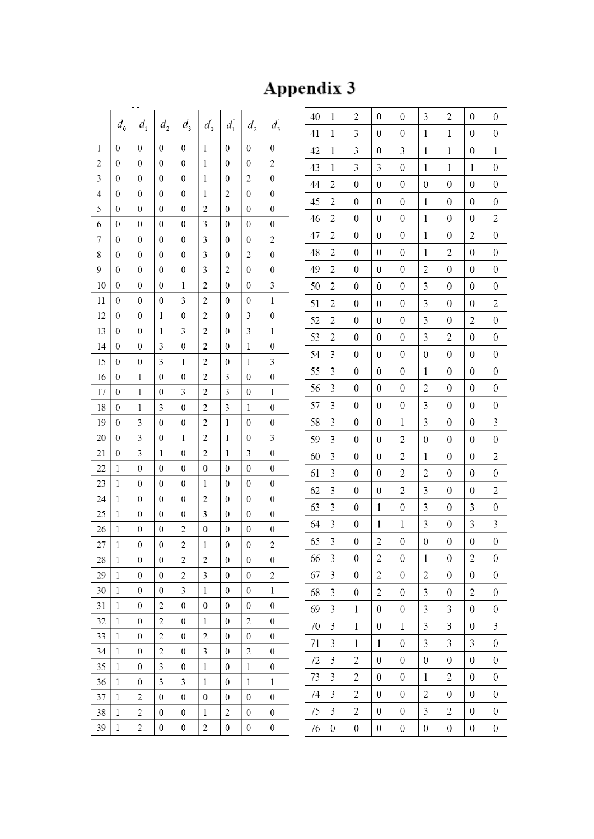# Appendix 3

|                         | $d_{\rm o}$      | $d_{1}$          | $d_{\scriptscriptstyle 2}$ | $d_{\scriptscriptstyle 3}$ | $d_0$                   | $d_1$            | $d_2$                   | $d_3$                   |
|-------------------------|------------------|------------------|----------------------------|----------------------------|-------------------------|------------------|-------------------------|-------------------------|
| $\,1$                   | $\boldsymbol{0}$ | $\mathbf{0}$     | $\overline{0}$             | $\boldsymbol{0}$           | $\,1$                   | $\boldsymbol{0}$ | $\mathbf{0}$            | $\boldsymbol{0}$        |
| $\overline{c}$          | $\boldsymbol{0}$ | $\boldsymbol{0}$ | $\boldsymbol{0}$           | $\boldsymbol{0}$           | 1                       | $\boldsymbol{0}$ | $\boldsymbol{0}$        | $\overline{\mathbf{c}}$ |
| $\overline{\mathbf{3}}$ | $\boldsymbol{0}$ | $\boldsymbol{0}$ | $\boldsymbol{0}$           | $\boldsymbol{0}$           | $\,1$                   | $\boldsymbol{0}$ | $\overline{c}$          | $\boldsymbol{0}$        |
| $\overline{4}$          | $\boldsymbol{0}$ | $\boldsymbol{0}$ | $\boldsymbol{0}$           | $\boldsymbol{0}$           | 1                       | $\overline{c}$   | $\boldsymbol{0}$        | $\boldsymbol{0}$        |
| 5                       | $\boldsymbol{0}$ | $\boldsymbol{0}$ | $\mathbf{0}$               | $\boldsymbol{0}$           | $\overline{\mathbf{c}}$ | $\boldsymbol{0}$ | $\mathbf{0}$            | $\boldsymbol{0}$        |
| 6                       | $\boldsymbol{0}$ | $\boldsymbol{0}$ | $\boldsymbol{0}$           | $\boldsymbol{0}$           | 3                       | $\boldsymbol{0}$ | $\boldsymbol{0}$        | $\boldsymbol{0}$        |
| $\overline{7}$          | $\mathbf{0}$     | $\boldsymbol{0}$ | $\boldsymbol{0}$           | $\boldsymbol{0}$           | 3                       | $\boldsymbol{0}$ | $\boldsymbol{0}$        | $\overline{c}$          |
| 8                       | $\boldsymbol{0}$ | $\boldsymbol{0}$ | $\boldsymbol{0}$           | $\boldsymbol{0}$           | 3                       | $\boldsymbol{0}$ | $\overline{\mathbf{c}}$ | $\boldsymbol{0}$        |
| 9                       | $\boldsymbol{0}$ | $\boldsymbol{0}$ | $\boldsymbol{0}$           | $\boldsymbol{0}$           | 3                       | $\overline{c}$   | $\boldsymbol{0}$        | $\boldsymbol{0}$        |
| 10                      | $\boldsymbol{0}$ | $\boldsymbol{0}$ | $\boldsymbol{0}$           | $\,1$                      | $\overline{\mathbf{c}}$ | $\boldsymbol{0}$ | $\boldsymbol{0}$        | 3                       |
| 11                      | $\boldsymbol{0}$ | $\boldsymbol{0}$ | $\boldsymbol{0}$           | 3                          | $\overline{\mathbf{c}}$ | $\boldsymbol{0}$ | $\boldsymbol{0}$        | $\mathbf{1}$            |
| 12                      | $\boldsymbol{0}$ | $\boldsymbol{0}$ | $\bf{l}$                   | $\boldsymbol{0}$           | $\overline{c}$          | $\boldsymbol{0}$ | 3                       | $\boldsymbol{0}$        |
| 13                      | $\boldsymbol{0}$ | $\boldsymbol{0}$ | $\mathbf 1$                | 3                          | $\overline{\mathbf{c}}$ | $\boldsymbol{0}$ | 3                       | $\mathbf 1$             |
| 14                      | $\boldsymbol{0}$ | $\boldsymbol{0}$ | 3                          | $\boldsymbol{0}$           | $\overline{c}$          | $\boldsymbol{0}$ | 1                       | $\boldsymbol{0}$        |
| 15                      | 0                | $\boldsymbol{0}$ | 3                          | $\mathbf 1$                | $\overline{c}$          | 0                | $\mathbf 1$             | 3                       |
| 16                      | $\boldsymbol{0}$ | $\mathbf 1$      | $\boldsymbol{0}$           | $\mathbf{0}$               | $\overline{c}$          | 3                | $\boldsymbol{0}$        | $\boldsymbol{0}$        |
| 17                      | $\boldsymbol{0}$ | $\mathbf 1$      | $\boldsymbol{0}$           | 3                          | $\overline{\mathbf{c}}$ | 3                | $\boldsymbol{0}$        | $\bf{l}$                |
| 18                      | $\boldsymbol{0}$ | $\mathbf 1$      | 3                          | $\boldsymbol{0}$           | $\overline{c}$          | 3                | $\mathbf 1$             | $\overline{0}$          |
| 19                      | $\boldsymbol{0}$ | 3                | $\boldsymbol{0}$           | $\boldsymbol{0}$           | $\overline{\mathbf{c}}$ | $\mathbf 1$      | $\boldsymbol{0}$        | $\boldsymbol{0}$        |
| 20                      | $\boldsymbol{0}$ | 3                | $\mathbf{0}$               | $\mathbf 1$                | $\overline{c}$          | $\mathbf 1$      | $\mathbf{0}$            | 3                       |
| 21                      | $\boldsymbol{0}$ | 3                | $\bf{l}$                   | $\boldsymbol{0}$           | $\overline{c}$          | $\mathbf 1$      | 3                       | $\boldsymbol{0}$        |
| 22                      | $\mathbf{l}$     | $\boldsymbol{0}$ | $\mathbf{0}$               | $\boldsymbol{0}$           | $\boldsymbol{0}$        | $\boldsymbol{0}$ | $\boldsymbol{0}$        | $\boldsymbol{0}$        |
| 23                      | $\bf{l}$         | $\boldsymbol{0}$ | $\boldsymbol{0}$           | $\boldsymbol{0}$           | $\,1$                   | $\boldsymbol{0}$ | $\boldsymbol{0}$        | $\boldsymbol{0}$        |
| 24                      | $\mathbf{l}$     | $\boldsymbol{0}$ | $\boldsymbol{0}$           | $\boldsymbol{0}$           | $\overline{\mathbf{c}}$ | $\boldsymbol{0}$ | $\mathbf{0}$            | $\boldsymbol{0}$        |
| 25                      | $\mathbf{1}$     | $\boldsymbol{0}$ | $\boldsymbol{0}$           | $\boldsymbol{0}$           | 3                       | $\boldsymbol{0}$ | $\boldsymbol{0}$        | $\boldsymbol{0}$        |
| 26                      | $\mathbf 1$      | $\boldsymbol{0}$ | $\boldsymbol{0}$           | $\overline{\mathbf{c}}$    | $\boldsymbol{0}$        | $\boldsymbol{0}$ | $\boldsymbol{0}$        | $\boldsymbol{0}$        |
| 27                      | l                | $\boldsymbol{0}$ | $\boldsymbol{0}$           | $\overline{c}$             | $\mathbf 1$             | $\boldsymbol{0}$ | $\boldsymbol{0}$        | $\overline{\mathbf{c}}$ |
| 28                      | $\mathbf 1$      | $\boldsymbol{0}$ | $\boldsymbol{0}$           | $\overline{c}$             | $\overline{c}$          | 0                | $\boldsymbol{0}$        | 0                       |
| 29                      | 1                | $\boldsymbol{0}$ | $\boldsymbol{0}$           | $\overline{c}$             | 3                       | $\boldsymbol{0}$ | $\boldsymbol{0}$        | 2                       |
| 30                      | $\mathbf 1$      | 0                | 0                          | 3                          | $\,1$                   | 0                | 0                       | 1                       |
| 31                      | $\mathbf{l}$     | $\boldsymbol{0}$ | $\overline{c}$             | $\boldsymbol{0}$           | $\boldsymbol{0}$        | $\boldsymbol{0}$ | $\boldsymbol{0}$        | $\boldsymbol{0}$        |
| 32                      | $\mathbf 1$      | $\boldsymbol{0}$ | $\overline{c}$             | $\boldsymbol{0}$           | $\,1$                   | $\boldsymbol{0}$ | $\overline{c}$          | $\boldsymbol{0}$        |
| 33                      | $\mathbf 1$      | $\boldsymbol{0}$ | $\overline{c}$             | $\boldsymbol{0}$           | $\overline{c}$          | $\boldsymbol{0}$ | $\boldsymbol{0}$        | 0                       |
| 34                      | $\bf{l}$         | $\boldsymbol{0}$ | $\overline{c}$             | $\boldsymbol{0}$           | 3                       | $\boldsymbol{0}$ | $\overline{c}$          | 0                       |
| 35                      | $\mathbf 1$      | $\boldsymbol{0}$ | 3                          | $\boldsymbol{0}$           | $\,1$                   | 0                | $\mathbf 1$             | 0                       |
| 36                      | $\bf{l}$         | $\boldsymbol{0}$ | 3                          | 3                          | 1                       | $\boldsymbol{0}$ | $\mathbf 1$             | 1                       |
| 37                      | 1                | $\overline{c}$   | 0                          | $\boldsymbol{0}$           | 0                       | 0                | $\boldsymbol{0}$        | 0                       |
| 38                      | $\bf{l}$         | $\overline{c}$   | $\boldsymbol{0}$           | $\boldsymbol{0}$           | $\,1$                   | $\overline{c}$   | $\boldsymbol{0}$        | $\boldsymbol{0}$        |
| 39                      | $\mathbf{1}$     | $\overline{c}$   | $\boldsymbol{0}$           | $\boldsymbol{0}$           | $\overline{\mathbf{c}}$ | $\boldsymbol{0}$ | $\boldsymbol{0}$        | $\boldsymbol{0}$        |

| 40 | $\mathbf 1$             | $\overline{c}$          | $\boldsymbol{0}$        | $\boldsymbol{0}$        | 3                | $\overline{c}$   | $\boldsymbol{0}$ | $\boldsymbol{0}$ |
|----|-------------------------|-------------------------|-------------------------|-------------------------|------------------|------------------|------------------|------------------|
| 41 | $\mathbf 1$             | 3                       | $\boldsymbol{0}$        | $\boldsymbol{0}$        | $\,1$            | $\mathbf 1$      | $\boldsymbol{0}$ | $\boldsymbol{0}$ |
| 42 | $\mathbf 1$             | 3                       | $\boldsymbol{0}$        | 3                       | 1                | $\mathbf 1$      | $\boldsymbol{0}$ | $\mathbf{1}$     |
| 43 | $\mathbf 1$             | 3                       | 3                       | $\boldsymbol{0}$        | 1                | $\mathbf 1$      | 1                | $\boldsymbol{0}$ |
| 44 | $\overline{c}$          | $\boldsymbol{0}$        | $\boldsymbol{0}$        | $\boldsymbol{0}$        | $\boldsymbol{0}$ | $\boldsymbol{0}$ | $\boldsymbol{0}$ | $\boldsymbol{0}$ |
| 45 | $\overline{c}$          | $\boldsymbol{0}$        | $\overline{0}$          | $\boldsymbol{0}$        | $\,1$            | $\boldsymbol{0}$ | $\boldsymbol{0}$ | $\boldsymbol{0}$ |
| 46 | $\overline{\mathbf{c}}$ | $\boldsymbol{0}$        | $\boldsymbol{0}$        | $\boldsymbol{0}$        | 1                | $\boldsymbol{0}$ | $\boldsymbol{0}$ | $\overline{c}$   |
| 47 | $\overline{c}$          | $\boldsymbol{0}$        | $\boldsymbol{0}$        | $\boldsymbol{0}$        | 1                | $\boldsymbol{0}$ | $\overline{c}$   | $\boldsymbol{0}$ |
| 48 | $\overline{c}$          | $\boldsymbol{0}$        | $\boldsymbol{0}$        | $\boldsymbol{0}$        | $\mathbf 1$      | $\overline{c}$   | $\boldsymbol{0}$ | $\boldsymbol{0}$ |
| 49 | $\overline{\mathbf{c}}$ | $\boldsymbol{0}$        | $\boldsymbol{0}$        | $\boldsymbol{0}$        | $\overline{c}$   | $\boldsymbol{0}$ | $\boldsymbol{0}$ | $\boldsymbol{0}$ |
| 50 | $\overline{c}$          | $\boldsymbol{0}$        | $\boldsymbol{0}$        | $\boldsymbol{0}$        | 3                | $\boldsymbol{0}$ | $\boldsymbol{0}$ | $\boldsymbol{0}$ |
| 51 | $\overline{c}$          | $\boldsymbol{0}$        | $\boldsymbol{0}$        | $\boldsymbol{0}$        | 3                | $\boldsymbol{0}$ | $\boldsymbol{0}$ | $\overline{c}$   |
| 52 | $\overline{\mathbf{c}}$ | $\boldsymbol{0}$        | $\boldsymbol{0}$        | $\boldsymbol{0}$        | 3                | $\boldsymbol{0}$ | $\overline{c}$   | $\boldsymbol{0}$ |
| 53 | $\overline{c}$          | $\boldsymbol{0}$        | $\boldsymbol{0}$        | $\boldsymbol{0}$        | 3                | $\overline{c}$   | $\boldsymbol{0}$ | $\boldsymbol{0}$ |
| 54 | 3                       | $\boldsymbol{0}$        | $\boldsymbol{0}$        | $\boldsymbol{0}$        | $\boldsymbol{0}$ | $\boldsymbol{0}$ | $\boldsymbol{0}$ | $\boldsymbol{0}$ |
| 55 | 3                       | $\boldsymbol{0}$        | $\boldsymbol{0}$        | $\boldsymbol{0}$        | 1                | $\boldsymbol{0}$ | $\boldsymbol{0}$ | $\boldsymbol{0}$ |
| 56 | 3                       | $\boldsymbol{0}$        | $\boldsymbol{0}$        | $\boldsymbol{0}$        | $\overline{c}$   | $\boldsymbol{0}$ | $\boldsymbol{0}$ | $\boldsymbol{0}$ |
| 57 | 3                       | $\boldsymbol{0}$        | $\boldsymbol{0}$        | $\boldsymbol{0}$        | 3                | $\boldsymbol{0}$ | $\boldsymbol{0}$ | $\boldsymbol{0}$ |
| 58 | 3                       | $\boldsymbol{0}$        | $\boldsymbol{0}$        | $\,1$                   | 3                | $\boldsymbol{0}$ | $\boldsymbol{0}$ | 3                |
| 59 | 3                       | $\boldsymbol{0}$        | $\boldsymbol{0}$        | $\overline{c}$          | $\boldsymbol{0}$ | $\boldsymbol{0}$ | $\boldsymbol{0}$ | $\boldsymbol{0}$ |
| 60 | 3                       | $\boldsymbol{0}$        | $\boldsymbol{0}$        | $\overline{c}$          | $\,1\,$          | $\boldsymbol{0}$ | $\boldsymbol{0}$ | $\overline{c}$   |
| 61 | 3                       | $\boldsymbol{0}$        | $\boldsymbol{0}$        | $\overline{\mathbf{c}}$ | $\overline{c}$   | $\boldsymbol{0}$ | $\boldsymbol{0}$ | $\boldsymbol{0}$ |
| 62 | 3                       | $\boldsymbol{0}$        | $\boldsymbol{0}$        | $\overline{\mathbf{c}}$ | 3                | $\boldsymbol{0}$ | $\boldsymbol{0}$ | $\overline{c}$   |
| 63 | 3                       | $\boldsymbol{0}$        | $\mathbf 1$             | $\boldsymbol{0}$        | 3                | $\boldsymbol{0}$ | 3                | $\boldsymbol{0}$ |
| 64 | 3                       | $\boldsymbol{0}$        | $\mathbf{l}$            | $\mathbf{l}$            | 3                | 0                | 3                | 3                |
| 65 | 3                       | $\boldsymbol{0}$        | $\overline{c}$          | $\boldsymbol{0}$        | $\boldsymbol{0}$ | $\boldsymbol{0}$ | $\boldsymbol{0}$ | $\boldsymbol{0}$ |
| 66 | 3                       | $\boldsymbol{0}$        | $\overline{c}$          | $\boldsymbol{0}$        | 1                | 0                | $\overline{c}$   | $\boldsymbol{0}$ |
| 67 | 3                       | 0                       | $\overline{c}$          | 0                       | $\overline{c}$   | $\boldsymbol{0}$ | 0                | $\boldsymbol{0}$ |
| 68 | 3                       | $\boldsymbol{0}$        | $\overline{\mathbf{c}}$ | $\boldsymbol{0}$        | 3                | 0                | $\overline{c}$   | $\boldsymbol{0}$ |
| 69 | 3                       | 1                       | $\boldsymbol{0}$        | $\boldsymbol{0}$        | 3                | 3                | $\boldsymbol{0}$ | $\boldsymbol{0}$ |
| 70 | 3                       | 1                       | $\boldsymbol{0}$        | $\,1$                   | 3                | 3                | $\boldsymbol{0}$ | 3                |
| 71 | 3                       | $\mathbf{l}$            | $\mathbf 1$             | $\boldsymbol{0}$        | 3                | 3                | 3                | $\boldsymbol{0}$ |
| 72 | 3                       | $\overline{c}$          | $\boldsymbol{0}$        | $\boldsymbol{0}$        | $\boldsymbol{0}$ | $\boldsymbol{0}$ | $\boldsymbol{0}$ | $\boldsymbol{0}$ |
| 73 | 3                       | $\overline{c}$          | $\boldsymbol{0}$        | $\boldsymbol{0}$        | $\,1$            | $\overline{c}$   | 0                | $\boldsymbol{0}$ |
| 74 | 3                       | $\overline{\mathbf{c}}$ | 0                       | $\boldsymbol{0}$        | $\overline{c}$   | $\boldsymbol{0}$ | 0                | $\boldsymbol{0}$ |
| 75 | 3                       | $\overline{c}$          | $\boldsymbol{0}$        | $\boldsymbol{0}$        | 3                | $\overline{c}$   | $\boldsymbol{0}$ | $\boldsymbol{0}$ |
| 76 | $\boldsymbol{0}$        | $\boldsymbol{0}$        | $\boldsymbol{0}$        | $\boldsymbol{0}$        | $\boldsymbol{0}$ | $\boldsymbol{0}$ | $\boldsymbol{0}$ | $\boldsymbol{0}$ |
|    |                         |                         |                         |                         |                  |                  |                  |                  |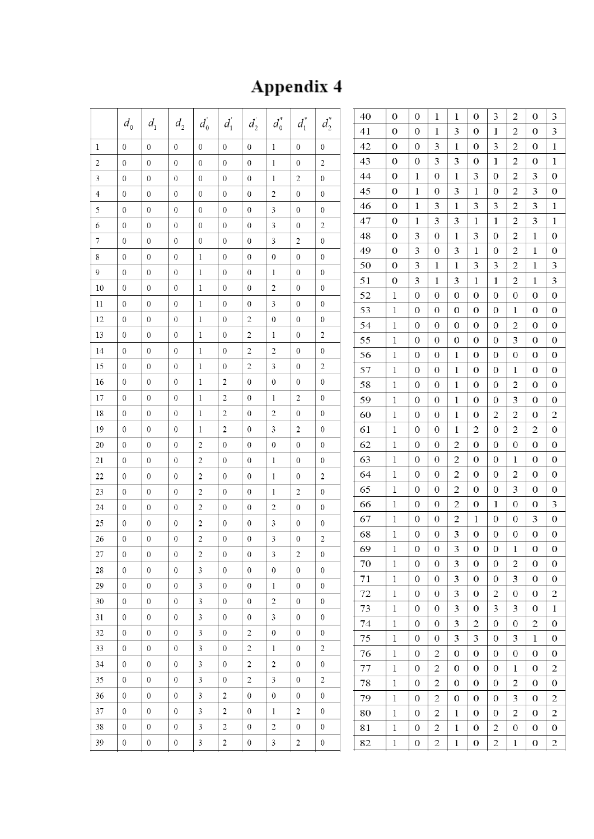# Appendix 4

|    | $d_{0}$          | $d_{1}$          | $d_{2}$          | $d_0$          | $d_1$          | $d_2$            | $d_0^*$        | $d_1^*$          | $d_2^*$          | 40<br>41 | 0<br>0            | $\mathbf{0}$<br>$\mathbf{0}$         | 1<br>1                               | 1<br>3           | $\bf{0}$<br>$\bf{0}$  | 3<br>1                | $\overline{c}$<br>2   | $\theta$<br>0         | 3<br>3                           |
|----|------------------|------------------|------------------|----------------|----------------|------------------|----------------|------------------|------------------|----------|-------------------|--------------------------------------|--------------------------------------|------------------|-----------------------|-----------------------|-----------------------|-----------------------|----------------------------------|
| 1  | $\mathbf{0}$     | $\mathbf{0}$     | $\mathbf{0}$     | $\mathbf{0}$   | $\mathbf{0}$   | $\boldsymbol{0}$ | $\mathbf{1}$   | 0                | 0                | 42       | 0                 | 0                                    | 3                                    | 1                | 0                     | 3                     | 2                     | $\bf{0}$              | 1                                |
| 2  | $\theta$         | $\mathbf{0}$     | $\theta$         | $\Omega$       | $\mathbf{0}$   | $\mathbf{0}$     | $\mathbf{1}$   | $\mathbf{0}$     | 2                | 43       | 0                 | $\mathbf{0}$                         | 3                                    | 3                | $\bf{0}$              | 1                     | 2                     | 0                     | 1                                |
| 3  | $\boldsymbol{0}$ | $\theta$         | $\boldsymbol{0}$ | $\mathbf{0}$   | $\mathbf{0}$   | $\mathbf{0}$     | 1              | 2                | 0                | 44       | 0                 | 1                                    | 0                                    | 1                | 3                     | 0                     | 2                     | 3                     | 0                                |
| 4  | $\theta$         | $\mathbf{0}$     | $\mathbf{0}$     | $\mathbf{0}$   | 0              | $\mathbf{0}$     | $\overline{c}$ | $\mathbf{0}$     | 0                | 45       | 0                 | 1                                    | 0                                    | 3                | 1                     | 0                     | 2                     | 3                     | 0                                |
| 5  | $\theta$         | $\mathbf{0}$     | $\mathbf{0}$     | $\mathbf{0}$   | $\theta$       | $\theta$         | 3              | $\theta$         | $\overline{0}$   | 46       | 0                 | 1                                    | 3                                    | 1                | 3                     | 3                     | 2                     | 3                     | 1                                |
| 6  | $\mathbf{0}$     | $\mathbf{0}$     | $\boldsymbol{0}$ | $\mathbf{0}$   | $\mathbf{0}$   | $\mathbf{0}$     | 3              | $\mathbf 0$      | 2                | 47       | 0                 | 1                                    | 3                                    | 3                | 1                     | 1                     | 2                     | 3                     | 1                                |
| 7  | $\mathbf{0}$     | $\mathbf{0}$     | $\mathbf{0}$     | $\overline{0}$ | $\Omega$       | $\theta$         | 3              | 2                | $\overline{0}$   | 48       | 0                 | 3                                    | 0                                    | 1                | 3                     | 0                     | 2                     | 1                     | $\mathbf 0$                      |
| 8  | $\theta$         | $\mathbf{0}$     | $\mathbf{0}$     | 1              | $\mathbf{0}$   | $\mathbf{0}$     | $\theta$       | 0                | $\boldsymbol{0}$ | 49       | 0                 | 3                                    | 0                                    | 3                | 1                     | 0                     | 2                     | 1                     | $\boldsymbol{0}$                 |
| 9  | $\theta$         | $\mathbf{0}$     | $\mathbf{0}$     | 1              | $\Omega$       | $\mathbf{0}$     | 1              | $\mathbf{0}$     | 0                | 50       | 0                 | 3                                    | 1                                    | 1                | 3                     | 3                     | 2                     | 1                     | 3                                |
| 10 | $\mathbf{0}$     | $\mathbf{0}$     | $\mathbf{0}$     | 1              | 0              | $\mathbf{0}$     | $\overline{2}$ | $\mathbf{0}$     | $\mathbf{0}$     | 51       | 0                 | 3                                    | 1                                    | 3                | 1                     | 1                     | 2                     | 1                     | 3                                |
| 11 | $\mathbf{0}$     | $\mathbf{0}$     | $\mathbf{0}$     | 1              | 0              | $\mathbf{0}$     | 3              | $\mathbf{0}$     | 0                | 52       | 1                 | $\mathbf{0}$                         | 0                                    | $\mathbf 0$      | 0                     | 0                     | $\bf{0}$              | 0                     | 0                                |
| 12 | $\mathbf{0}$     | $\mathbf{0}$     | $\mathbf{0}$     | 1              | 0              | 2                | $\mathbf{0}$   | $\overline{0}$   | 0                | 53       | 1                 | 0                                    | $\mathbf{0}$                         | $\mathbf{0}$     | 0                     | 0                     | 1                     | 0                     | $\mathbf 0$                      |
| 13 | $\mathbf{0}$     | $\mathbf{0}$     | $\mathbf{0}$     | 1              | $\mathbf{0}$   | 2                | 1              | $\mathbf{0}$     | 2                | 54       | 1                 | 0                                    | 0                                    | 0                | $\mathbf 0$           | 0                     | 2                     | 0                     | $\boldsymbol{0}$                 |
| 14 | $\theta$         | $\theta$         | $\theta$         | 1              | 0              | 2                | 2              | $\theta$         | 0                | 55<br>56 | 1                 | 0                                    | 0                                    | $\mathbf 0$      | 0<br>0                | 0<br>0                | 3                     | 0<br>0                | 0<br>0                           |
| 15 | $\mathbf{0}$     | $\mathbf{0}$     | $\mathbf{0}$     | $\mathbf{1}$   | $\mathbf{0}$   | 2                | 3              | $\overline{0}$   | 2                | 57       | 1<br>1            | 0<br>$\mathbf{0}$                    | 0<br>$\mathbf{0}$                    | 1<br>1           | 0                     | 0                     | 0<br>1                | $\mathbf{0}$          | 0                                |
| 16 | $\theta$         | $\mathbf{0}$     | $\theta$         | 1              | 2              | $\mathbf{0}$     | $\mathbf{0}$   | $\mathbf{0}$     | $\mathbf{0}$     | 58       | 1                 | 0                                    | $\bf{0}$                             | 1                | 0                     | 0                     | $\boldsymbol{2}$      | 0                     | 0                                |
| 17 | $\mathbf{0}$     | $\mathbf{0}$     | $\boldsymbol{0}$ | 1              | 2              | $\theta$         | 1              | 2                | 0                | 59       | 1                 | $\mathbf{0}$                         | 0                                    | 1                | 0                     | 0                     | 3                     | 0                     | $\bf{0}$                         |
| 18 | $\Omega$         | $\mathbf{0}$     | $\Omega$         | 1              | 2              | $\mathbf{0}$     | $\overline{c}$ | $\mathbf{0}$     | 0                | 60       | 1                 | 0                                    | 0                                    | 1                | 0                     | 2                     | 2                     | $\boldsymbol{0}$      | $\mathfrak{2}$                   |
| 19 | $\mathbf{0}$     | $\mathbf{0}$     | $\mathbf{0}$     | 1              | 2              | $\mathbf{0}$     | 3              | 2                | $\overline{0}$   | 61       | 1                 | $\mathbf{0}$                         | $\mathbf{0}$                         | 1                | 2                     | $\mathbf{0}$          | 2                     | 2                     | $\boldsymbol{0}$                 |
| 20 | $\mathbf{0}$     | $\mathbf{0}$     | $\mathbf{0}$     | 2              | 0              | $\mathbf{0}$     | $\mathbf{0}$   | $\mathbf{0}$     | $\mathbf{0}$     | 62       | 1                 | 0                                    | 0                                    | 2                | 0                     | 0                     | 0                     | $\mathbf{0}$          | 0                                |
| 21 | $\mathbf{0}$     | $\theta$         | $\theta$         | 2              | 0              | $\mathbf{0}$     | 1              | $\mathbf{0}$     | $\overline{0}$   | 63       | 1                 | 0                                    | 0                                    | 2                | 0                     | 0                     | 1                     | 0                     | 0                                |
| 22 | $\mathbf{0}$     | $\mathbf{0}$     | $\boldsymbol{0}$ | 2              | $\mathbf{0}$   | $\mathbf{0}$     | $\mathbf{1}$   | $\boldsymbol{0}$ | 2                | 64       | 1                 | $\mathbf{0}$                         | 0                                    | 2                | 0                     | 0                     | 2                     | $\mathbf{0}$          | $\boldsymbol{0}$                 |
| 23 | $\mathbf{0}$     | $\overline{0}$   | $\theta$         | 2              | $\mathbf{0}$   | $\mathbf{0}$     | $\mathbf{1}$   | $\overline{c}$   | $\mathbf{0}$     | 65       | 1                 | 0                                    | $\bf{0}$                             | 2                | 0                     | 0                     | 3                     | 0                     | 0                                |
| 24 | $\mathbf{0}$     | $\mathbf{0}$     | $\boldsymbol{0}$ | 2              | $\mathbf{0}$   | $\mathbf{0}$     | 2              | $\overline{0}$   | $\mathbf{0}$     | 66       | 1                 | $\mathbf{0}$                         | 0                                    | 2                | $\theta$              | 1                     | $\mathbf{0}$          | $\mathbf{0}$          | 3                                |
| 25 | $\theta$         | $\mathbf{0}$     | $\mathbf{0}$     | 2              | 0              | $\mathbf{0}$     | 3              | $\mathbf{0}$     | 0                | 67       | 1                 | 0                                    | 0                                    | 2                | 1                     | 0                     | 0                     | 3                     | 0                                |
| 26 | $\mathbf{0}$     | $\theta$         | $\boldsymbol{0}$ | 2              | 0              | $\theta$         | 3              | 0                | 2                | 68       | 1                 | $\mathbf{0}$                         | $\boldsymbol{0}$                     | 3                | $\bf{0}$              | $\mathbf{0}$          | $\boldsymbol{0}$      | $\boldsymbol{0}$      | $\boldsymbol{0}$                 |
| 27 | $\boldsymbol{0}$ | $\boldsymbol{0}$ | $\boldsymbol{0}$ | 2              | $\overline{0}$ | $\mathbf{0}$     | 3              | $\sqrt{2}$       | $\boldsymbol{0}$ | 69       | $\mathbf{1}$      | $\boldsymbol{0}$                     | $\boldsymbol{0}$                     | 3                | $\boldsymbol{0}$      | $\boldsymbol{0}$      | $\mathbf{1}$          | $\Omega$              | $\Omega$                         |
| 28 | $\overline{0}$   | $\overline{0}$   | $\overline{0}$   | $\overline{3}$ | $\overline{0}$ | $\overline{0}$   | $\overline{0}$ | $\overline{0}$   | $\overline{0}$   | 70       | $\mathbf{1}$      | $\overline{0}$                       | $\overline{0}$                       | 3                | $\overline{0}$        | $\overline{0}$        | 2                     | $\overline{0}$        | $\boldsymbol{0}$                 |
| 29 | $\mathbf{0}$     | $\boldsymbol{0}$ | $\overline{0}$   | 3              | $\overline{0}$ | $\overline{0}$   | $\mathbf{1}$   | $\overline{0}$   | $\overline{0}$   | 71       | $\mathbf{1}$      | $\overline{0}$                       | $\overline{0}$                       | 3                | $\overline{0}$        | $\bf{0}$              | 3                     | $\mathbf{0}$          | $\mathbf{0}$                     |
| 30 | $\mathbf{0}$     | $\overline{0}$   | $\mathbf{0}$     | $\mathfrak{Z}$ | $\overline{0}$ | $\overline{0}$   | $\overline{c}$ | $\overline{0}$   | $\overline{0}$   | 72       | $\mathbf{1}$      | $\boldsymbol{0}$                     | $\overline{0}$                       | 3                | $\overline{0}$        | $\mathbf{2}$          | $\boldsymbol{0}$      | $\boldsymbol{0}$      | 2                                |
| 31 | $\mathbf{0}$     | $\boldsymbol{0}$ | $\mathbf{0}$     | $\mathfrak{Z}$ | $\mathbf{0}$   | $\overline{0}$   | $\mathfrak{Z}$ | $\overline{0}$   | $\mathbf{0}$     | 73<br>74 | $\mathbf{1}$<br>1 | $\boldsymbol{0}$<br>$\boldsymbol{0}$ | $\boldsymbol{0}$<br>$\boldsymbol{0}$ | 3<br>3           | $\boldsymbol{0}$<br>2 | 3<br>$\boldsymbol{0}$ | 3<br>$\boldsymbol{0}$ | $\boldsymbol{0}$<br>2 | $\mathbf{1}$<br>$\boldsymbol{0}$ |
| 32 | $\mathbf{0}$     | $\overline{0}$   | $\overline{0}$   | $\mathfrak{Z}$ | $\overline{0}$ | $\overline{2}$   | $\overline{0}$ | $\overline{0}$   | $\mathbf{0}$     | 75       | $\mathbf{1}$      | $\boldsymbol{0}$                     | $\boldsymbol{0}$                     | 3                | 3                     | $\mathbf{0}$          | 3                     | $\mathbf{1}$          | $\boldsymbol{0}$                 |
| 33 | $\mathbf{0}$     | $\mathbf{0}$     | $\overline{0}$   | 3              | $\overline{0}$ | $\overline{2}$   | $\mathbf{1}$   | $\overline{0}$   | $\overline{2}$   | 76       | $\mathbf{1}$      | $\boldsymbol{0}$                     | $\mathbf{2}$                         | $\mathbf{0}$     | $\mathbf{0}$          | $\overline{0}$        | $\mathbf{0}$          | $\mathbf{0}$          | $\boldsymbol{0}$                 |
| 34 | $\overline{0}$   | $\boldsymbol{0}$ | $\overline{0}$   | 3              | $\overline{0}$ | $\sqrt{2}$       | $\overline{2}$ | $\overline{0}$   | $\mathbf{0}$     | 77       | $\mathbf{1}$      | $\boldsymbol{0}$                     | $\mathbf{2}$                         | $\boldsymbol{0}$ | $\boldsymbol{0}$      | $\bf{0}$              | $\mathbf{1}$          | $\boldsymbol{0}$      | 2                                |
| 35 | $\overline{0}$   | $\sqrt{0}$       | $\overline{0}$   | $\mathfrak{Z}$ | $\overline{0}$ | $\overline{2}$   | $\mathbf{3}$   | $\overline{0}$   | $\sqrt{2}$       | 78       | $\mathbf{1}$      | $\boldsymbol{0}$                     | $\mathbf{2}$                         | $\mathbf{0}$     | $\boldsymbol{0}$      | $\boldsymbol{0}$      | $\overline{c}$        | $\overline{0}$        | $\boldsymbol{0}$                 |
| 36 | $\mathbf{0}$     | $\boldsymbol{0}$ | $\overline{0}$   | $\overline{3}$ | $\overline{c}$ | $\overline{0}$   | $\overline{0}$ | $\overline{0}$   | $\mathbf{0}$     | 79       | $\mathbf{1}$      | $\boldsymbol{0}$                     | $\overline{c}$                       | $\mathbf{0}$     | $\boldsymbol{0}$      | $\boldsymbol{0}$      | 3                     | $\mathbf{0}$          | 2                                |
| 37 | $\mathbf{0}$     | $\sqrt{0}$       | $\overline{0}$   | $\mathfrak{Z}$ | $\overline{c}$ | $\overline{0}$   | $\mathbf{1}$   | 2                | $\overline{0}$   | 80       | $\mathbf{1}$      | $\boldsymbol{0}$                     | $\overline{c}$                       | $\mathbf{1}$     | $\mathbf{0}$          | $\bf{0}$              | 2                     | $\boldsymbol{0}$      | 2                                |
| 38 | $\boldsymbol{0}$ | $\boldsymbol{0}$ | $\boldsymbol{0}$ | $\mathfrak{Z}$ | 2              | $\overline{0}$   | $\sqrt{2}$     | $\overline{0}$   | $\,0\,$          | 81       | $\mathbf{1}$      | $\boldsymbol{0}$                     | $\overline{c}$                       | $\mathbf{1}$     | $\boldsymbol{0}$      | $\overline{c}$        | $\boldsymbol{0}$      | $\boldsymbol{0}$      | $\boldsymbol{0}$                 |
| 39 | $\boldsymbol{0}$ | $\,0\,$          | $\boldsymbol{0}$ | $\overline{3}$ | $\overline{c}$ | $\boldsymbol{0}$ | $\mathfrak{Z}$ | $\sqrt{2}$       | $\,0\,$          | 82       | $\mathbf{1}$      | $\boldsymbol{0}$                     | $\overline{c}$                       | $\mathbf{1}$     | $\boldsymbol{0}$      | $\overline{2}$        | $\,1$                 | $\boldsymbol{0}$      | $\mathbf{2}$                     |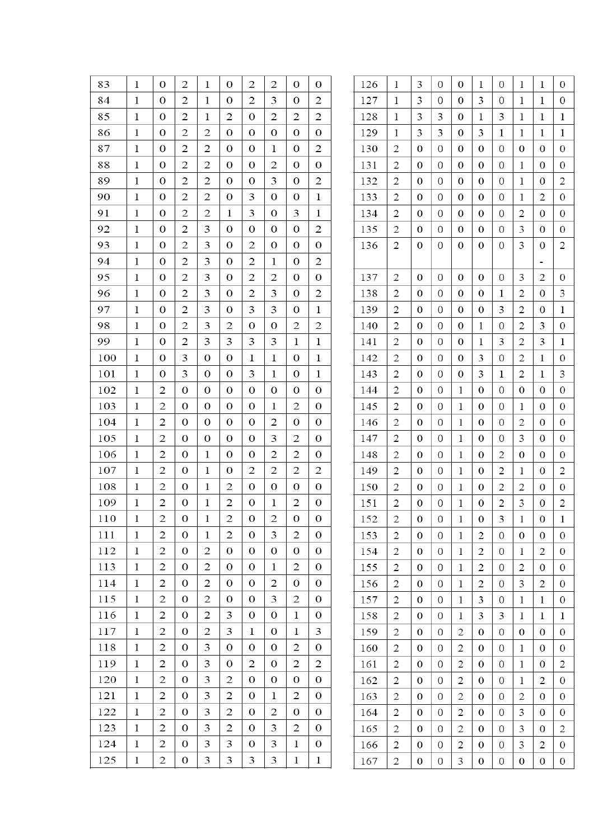| 83  | 1            | $\theta$       | $\overline{c}$   | 1              | 0                       | 2                | $\overline{c}$ | 0                | $\theta$         | 126 | 1              | 3                | $\theta$         | 0                | 1                | 0                | 1                | 1                        | $\boldsymbol{0}$ |
|-----|--------------|----------------|------------------|----------------|-------------------------|------------------|----------------|------------------|------------------|-----|----------------|------------------|------------------|------------------|------------------|------------------|------------------|--------------------------|------------------|
| 84  | 1            | $\mathbf{0}$   | 2                | 1              | 0                       | 2                | 3              | 0                | $\overline{2}$   | 127 | 1              | 3                | 0                | $\theta$         | 3                | 0                | 1                | 1                        | $\bf{0}$         |
| 85  | 1            | $\mathbf{0}$   | 2                | 1              | $\overline{c}$          | $\mathbf{0}$     | $\overline{c}$ | 2                | $\overline{c}$   | 128 | 1              | 3                | 3                | 0                | 1                | 3                | 1                | 1                        | 1                |
| 86  | 1            | $\theta$       | 2                | 2              | $\mathbf{0}$            | $\mathbf{0}$     | $\theta$       | 0                | $\mathbf{0}$     | 129 | 1              | 3                | 3                | $\Omega$         | 3                | 1                | 1                | 1                        | 1                |
| 87  | 1            | $\mathbf{0}$   | 2                | $\mathbf{2}$   | 0                       | $\bf{0}$         | 1              | 0                | 2                | 130 | 2              | $\theta$         | $\theta$         | $\Omega$         | 0                | 0                | $\Omega$         | $\theta$                 | $\theta$         |
| 88  | 1            | $\mathbf{0}$   | 2                | 2              | 0                       | 0                | 2              | 0                | $\mathbf{0}$     | 131 | $\overline{c}$ | 0                | $\theta$         | 0                | 0                | 0                | 1                | $\theta$                 | 0                |
| 89  | 1            | $\theta$       | 2                | 2              | $\theta$                | $\theta$         | 3              | 0                | $\overline{2}$   | 132 | 2              | $\overline{0}$   | $\mathbf{0}$     | $\theta$         | $\bf{0}$         | $\bf{0}$         | 1                | $\mathbf{0}$             | 2                |
| 90  | 1            | $\mathbf{0}$   | 2                | $\mathbf{2}$   | 0                       | 3                | $\mathbf{0}$   | 0                | 1                | 133 | 2              | $\mathbf{0}$     | $\mathbf{0}$     | $\mathbf{0}$     | $\boldsymbol{0}$ | $\mathbf{0}$     | 1                | $\overline{2}$           | $\mathbf{0}$     |
| 91  | 1            | $\mathbf{0}$   | 2                | 2              | 1                       | 3                | $\mathbf{0}$   | 3                | 1                | 134 | $\overline{c}$ | $\Omega$         | $\mathbf{0}$     | $\Omega$         | $\boldsymbol{0}$ | $\mathbf{0}$     | 2                | $\mathbf{0}$             | $\boldsymbol{0}$ |
| 92  | 1            | 0              | $\overline{c}$   | 3              | 0                       | $\theta$         | $\mathbf{0}$   | 0                | $\overline{c}$   | 135 | 2              | $\theta$         | $\theta$         | $\theta$         | 0                | 0                | 3                | $\theta$                 | $\boldsymbol{0}$ |
| 93  | 1            | 0              | $\overline{c}$   | 3              | 0                       | $\overline{2}$   | $\mathbf{0}$   | 0                | $\bf{0}$         | 136 | 2              | $\theta$         | 0                | $\theta$         | $\mathbf{0}$     | 0                | 3                | 0                        | 2                |
| 94  | 1            | $\mathbf{0}$   | 2                | 3              | 0                       | 2                | 1              | 0                | $\mathbf{2}$     |     |                |                  |                  |                  |                  |                  |                  | $\overline{\phantom{a}}$ |                  |
| 95  | 1            | $\theta$       | $\overline{c}$   | 3              | 0                       | $\overline{c}$   | $\overline{c}$ | 0                | $\mathbf{0}$     | 137 | $\overline{2}$ | $\theta$         | $\mathbf{0}$     | $\boldsymbol{0}$ | $\mathbf{0}$     | $\theta$         | 3                | 2                        | $\bf{0}$         |
| 96  | 1            | $\mathbf{0}$   | $\overline{c}$   | 3              | 0                       | $\overline{2}$   | 3              | 0                | $\overline{2}$   | 138 | 2              | $\theta$         | $\theta$         | 0                | 0                | 1                | 2                | $\theta$                 | 3                |
| 97  | 1            | 0              | 2                | 3              | 0                       | 3                | 3              | 0                | 1                | 139 | 2              | $\theta$         | $\theta$         | 0                | 0                | 3                | 2                | $\theta$                 | 1                |
| 98  | 1            | 0              | $\overline{c}$   | 3              | 2                       | 0                | $\mathbf{0}$   | 2                | $\overline{c}$   | 140 | 2              | $\mathbf{0}$     | $\mathbf{0}$     | $\theta$         | 1                | 0                | $\mathfrak{2}$   | 3                        | $\mathbf{0}$     |
| 99  | 1            | $\theta$       | $\overline{c}$   | 3              | 3                       | 3                | 3              | 1                | 1                | 141 | $\overline{c}$ | $\boldsymbol{0}$ | $\mathbf{0}$     | 0                | $\mathbf{1}$     | 3                | 2                | 3                        | 1                |
| 100 | 1            | $\mathbf{0}$   | 3                | $\mathbf{0}$   | 0                       | 1                | 1              | 0                | $\mathbf{1}$     | 142 | 2              | $\theta$         | $\Omega$         | $\Omega$         | 3                | $\mathbf{0}$     | 2                | 1                        | $\mathbf{0}$     |
| 101 | 1            | $\mathbf{0}$   | 3                | $\mathbf{0}$   | 0                       | 3                | 1              | 0                | 1                | 143 | 2              | 0                | $\theta$         | 0                | 3                | 1                | 2                | 1                        | 3                |
| 102 | 1            | 2              | $\theta$         | 0              | 0                       | $\theta$         | $\mathbf 0$    | 0                | $\theta$         | 144 | 2              | $\theta$         | $\mathbf{0}$     | 1                | $\boldsymbol{0}$ | 0                | $\mathbf{0}$     | $\theta$                 | $\mathbf{0}$     |
| 103 | 1            | $\overline{c}$ | $\mathbf{0}$     | $\mathbf{0}$   | 0                       | $\bf{0}$         | 1              | 2                | $\bf{0}$         | 145 | $\overline{2}$ | $\theta$         | $\mathbf{0}$     | 1                | $\bf{0}$         | 0                | 1                | $\mathbf{0}$             | $\boldsymbol{0}$ |
| 104 | 1            | 2              | $\mathbf{0}$     | $\mathbf{0}$   | 0                       | $\mathbf{0}$     | 2              | 0                | 0                | 146 | 2              | $\mathbf{0}$     | $\mathbf{0}$     | 1                | 0                | 0                | 2                | $\mathbf{0}$             | $\mathbf{0}$     |
| 105 | 1            | 2              | $\theta$         | $\mathbf{0}$   | 0                       | $\mathbf{0}$     | 3              | 2                | 0                | 147 | 2              | $\theta$         | $\mathbf{0}$     | 1                | $\mathbf{0}$     | 0                | 3                | $\theta$                 | $\boldsymbol{0}$ |
| 106 | 1            | $\overline{c}$ | $\mathbf{0}$     | 1              | 0                       | $\bf{0}$         | 2              | 2                | $\theta$         | 148 | 2              | $\theta$         | $\theta$         | $\mathbf{1}$     | $\theta$         | $\overline{2}$   | $\theta$         | $\theta$                 | $\theta$         |
| 107 | 1            | 2              | $\mathbf{0}$     | 1              | 0                       | 2                | 2              | 2                | 2                | 149 | 2              | $\overline{0}$   | $\mathbf{0}$     | 1                | $\bf{0}$         | 2                | 1                | 0                        | 2                |
| 108 | 1            | 2              | $\Omega$         | 1              | 2                       | $\boldsymbol{0}$ | $\mathbf{0}$   | 0                | $\bf{0}$         | 150 | 2              | 0                | 0                | 1                | 0                | 2                | $\overline{c}$   | $\mathbf{0}$             | $\mathbf{0}$     |
| 109 | 1            | $\overline{c}$ | $\theta$         | 1              | 2                       | $\bf{0}$         | 1              | 2                | $\theta$         | 151 | $\overline{c}$ | $\mathbf{0}$     | $\mathbf{0}$     | 1                | 0                | 2                | 3                | $\mathbf{0}$             | 2                |
| 110 | 1            | $\mathbf{2}$   | $\boldsymbol{0}$ | $\mathbf 1$    | $\overline{\mathbf{c}}$ | $\boldsymbol{0}$ | $\overline{c}$ | $\boldsymbol{0}$ | $\boldsymbol{0}$ | 152 | $\mathbf{2}$   | $\boldsymbol{0}$ | $\boldsymbol{0}$ | $\,1$            | $\boldsymbol{0}$ | 3                | $\mathbf{1}$     | $\boldsymbol{0}$         | $\mathbf{1}$     |
| 111 | $\mathbf{1}$ | 2              | $\Omega$         | 1              | 2                       | $\bf{0}$         | 3              | 2                | $\theta$         | 153 | 2              | $\theta$         | $\theta$         | $\mathbf{1}$     | 2                | 0                | $\theta$         | $\theta$                 | $\theta$         |
| 112 | $\mathbf{1}$ | 2              | $\boldsymbol{0}$ | 2              | 0                       | $\boldsymbol{0}$ | 0              | $\boldsymbol{0}$ | $\overline{0}$   | 154 | 2              | $\boldsymbol{0}$ | 0                | $\mathbf{1}$     | 2                | 0                | $\mathbf{1}$     | $\overline{c}$           | $\mathbf{0}$     |
| 113 | 1            | 2              | $\boldsymbol{0}$ | 2              | 0                       | 0                | 1              | 2                | $\bf{0}$         | 155 | 2              | $\overline{0}$   | $\mathbf{0}$     | $\mathbf{1}$     | 2                | 0                | $\overline{c}$   | $\mathbf{0}$             | $\mathbf{0}$     |
| 114 | 1            | 2              | $\mathbf{0}$     | $\mathbf{2}$   | 0                       | $\mathbf{0}$     | 2              | $\mathbf{0}$     | $\mathbf{0}$     | 156 | 2              | $\mathbf{0}$     | $\mathbf{0}$     | $\mathbf{1}$     | 2                | 0                | 3                | 2                        | $\mathbf{0}$     |
| 115 | $\mathbf{1}$ | 2              | $\mathbf{0}$     | $\overline{c}$ | 0                       | $\mathbf 0$      | 3              | 2                | $\mathbf 0$      | 157 | 2              | $\boldsymbol{0}$ | $\boldsymbol{0}$ | $\mathbf{1}$     | 3                | $\mathbf{0}$     | 1                | 1                        | $\boldsymbol{0}$ |
| 116 | 1            | $\mathbf{2}$   | $\mathbf{0}$     | 2              | 3                       | 0                | 0              | 1                | $\mathbf{0}$     | 158 | 2              | $\boldsymbol{0}$ | $\boldsymbol{0}$ | $\mathbf{1}$     | 3                | 3                | $\mathbf{1}$     | 1                        | 1                |
| 117 | $\mathbf{1}$ | 2              | $\mathbf{0}$     | 2              | 3                       | $\mathbf{1}$     | 0              | 1                | 3                | 159 | 2              | $\theta$         | $\overline{0}$   | 2                | 0                | $\boldsymbol{0}$ | 0                | $\mathbf{0}$             | $\theta$         |
| 118 | 1            | 2              | $\mathbf{0}$     | 3              | 0                       | $\boldsymbol{0}$ | 0              | $\overline{c}$   | $\boldsymbol{0}$ | 160 | 2              | $\overline{0}$   | 0                | 2                | $\boldsymbol{0}$ | 0                | $\mathbf{1}$     | 0                        | $\mathbf{0}$     |
| 119 | $\mathbf{1}$ | $\overline{c}$ | $\mathbf{0}$     | 3              | $\overline{0}$          | 2                | 0              | 2                | $\overline{c}$   | 161 | 2              | $\boldsymbol{0}$ | $\mathbf{0}$     | 2                | $\mathbf{0}$     | $\mathbf{0}$     | $\mathbf{1}$     | $\mathbf{0}$             | $\overline{c}$   |
| 120 | 1            | 2              | $\mathbf{0}$     | 3              | 2                       | 0                | 0              | 0                | $\boldsymbol{0}$ | 162 | 2              | $\mathbf{0}$     | $\boldsymbol{0}$ | 2                | $\boldsymbol{0}$ | $\mathbf{0}$     | 1                | 2                        | $\mathbf{0}$     |
| 121 | $\mathbf{1}$ | 2              | $\mathbf{0}$     | 3              | 2                       | $\boldsymbol{0}$ | 1              | $\mathbf{2}$     | $\theta$         | 163 | $\overline{c}$ | $\theta$         | $\overline{0}$   | $\mathbf{2}$     | $\boldsymbol{0}$ | 0                | $\mathfrak{2}$   | $\theta$                 | $\theta$         |
| 122 | $\mathbf{1}$ | 2              | $\theta$         | 3              | 2                       | $\theta$         | $\mathbf{2}$   | $\theta$         | $\Omega$         | 164 | $\mathbf{2}$   | $\boldsymbol{0}$ | $\boldsymbol{0}$ | 2                | $\boldsymbol{0}$ | $\bf{0}$         | 3                | $\overline{0}$           | $\boldsymbol{0}$ |
| 123 | 1            | 2              | 0                | 3              | 2                       | 0                | 3              | 2                | 0                | 165 | 2              | $\overline{0}$   | $\mathbf{0}$     | 2                | $\boldsymbol{0}$ | 0                | 3                | $\mathbf{0}$             | $\overline{c}$   |
| 124 | $\mathbf{1}$ | 2              | $\boldsymbol{0}$ | 3              | 3                       | 0                | 3              | 1                | $\boldsymbol{0}$ | 166 | 2              | $\mathbf{0}$     | $\mathbf{0}$     | 2                | $\mathbf{0}$     | 0                | 3                | $\mathfrak{2}$           | $\mathbf{0}$     |
| 125 | $\mathbf 1$  | 2              | $\mathbf 0$      | 3              | 3                       | 3                | 3              | $\mathbf{1}$     | $\mathbf{1}$     | 167 | $\mathfrak{2}$ | $\boldsymbol{0}$ | $\boldsymbol{0}$ | 3                | $\boldsymbol{0}$ | $\boldsymbol{0}$ | $\boldsymbol{0}$ | $\boldsymbol{0}$         | $\bf{0}$         |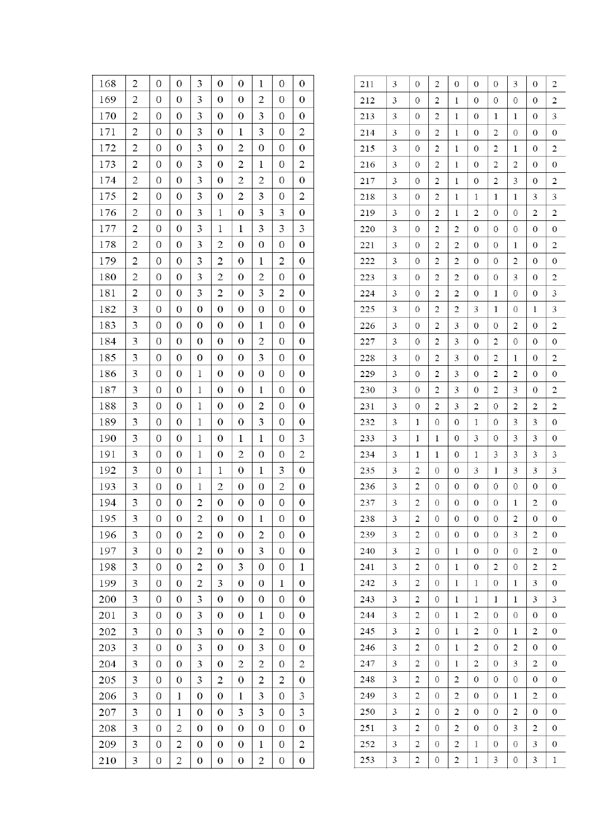| 168 | $\overline{\mathbf{c}}$ | $\mathbf 0$      | $\boldsymbol{0}$ | 3                       | $\boldsymbol{0}$ | $\boldsymbol{0}$ | 1                | 0                | 0                |
|-----|-------------------------|------------------|------------------|-------------------------|------------------|------------------|------------------|------------------|------------------|
| 169 | $\overline{c}$          | 0                | 0                | 3                       | $\boldsymbol{0}$ | $\boldsymbol{0}$ | $\overline{c}$   | 0                | 0                |
| 170 | 2                       | $\boldsymbol{0}$ | 0                | 3                       | 0                | 0                | 3                | 0                | 0                |
| 171 | 2                       | $\boldsymbol{0}$ | 0                | 3                       | $\boldsymbol{0}$ | $\mathbf 1$      | 3                | 0                | 2                |
| 172 | $\overline{\mathbf{c}}$ | $\mathbf 0$      | $\boldsymbol{0}$ | 3                       | $\boldsymbol{0}$ | $\overline{c}$   | 0                | $\boldsymbol{0}$ | 0                |
| 173 | 2                       | $\boldsymbol{0}$ | 0                | 3                       | 0                | 2                | 1                | 0                | 2                |
| 174 | $\overline{c}$          | 0                | 0                | 3                       | $\boldsymbol{0}$ | $\overline{c}$   | $\overline{c}$   | 0                | $\boldsymbol{0}$ |
| 175 | $\overline{\mathbf{c}}$ | $\boldsymbol{0}$ | $\boldsymbol{0}$ | 3                       | $\boldsymbol{0}$ | 2                | 3                | 0                | 2                |
| 176 | 2                       | $\boldsymbol{0}$ | $\boldsymbol{0}$ | 3                       | $\mathbf{1}$     | $\boldsymbol{0}$ | 3                | 3                | $\boldsymbol{0}$ |
| 177 | $\overline{\mathbf{c}}$ | $\boldsymbol{0}$ | 0                | 3                       | 1                | 1                | 3                | 3                | 3                |
| 178 | $\overline{c}$          | $\boldsymbol{0}$ | 0                | 3                       | $\overline{c}$   | $\boldsymbol{0}$ | $\boldsymbol{0}$ | 0                | $\boldsymbol{0}$ |
| 179 | $\overline{\mathbf{c}}$ | 0                | 0                | 3                       | 2                | 0                | $\mathbf 1$      | 2                | 0                |
| 180 | $\overline{\mathbf{c}}$ | 0                | 0                | 3                       | 2                | 0                | 2                | $\boldsymbol{0}$ | 0                |
| 181 | $\overline{\mathbf{c}}$ | $\mathbf 0$      | $\boldsymbol{0}$ | 3                       | 2                | $\boldsymbol{0}$ | 3                | 2                | $\boldsymbol{0}$ |
| 182 | 3                       | 0                | 0                | $\boldsymbol{0}$        | $\boldsymbol{0}$ | $\boldsymbol{0}$ | 0                | 0                | 0                |
| 183 | 3                       | 0                | 0                | 0                       | 0                | 0                | 1                | 0                | 0                |
| 184 | 3                       | 0                | 0                | $\boldsymbol{0}$        | 0                | 0                | 2                | 0                | 0                |
| 185 | 3                       | $\boldsymbol{0}$ | 0                | $\boldsymbol{0}$        | $\boldsymbol{0}$ | $\boldsymbol{0}$ | 3                | $\boldsymbol{0}$ | $\boldsymbol{0}$ |
| 186 | 3                       | 0                | 0                | $\mathbf 1$             | 0                | $\boldsymbol{0}$ | 0                | 0                | 0                |
| 187 | 3                       | 0                | 0                | 1                       | 0                | 0                | $\mathbf 1$      | 0                | 0                |
| 188 | 3                       | 0                | 0                | $\,1$                   | $\boldsymbol{0}$ | $\boldsymbol{0}$ | 2                | 0                | 0                |
| 189 | 3                       | 0                | $\boldsymbol{0}$ | $\mathbf 1$             | 0                | $\boldsymbol{0}$ | 3                | 0                | $\boldsymbol{0}$ |
| 190 | 3                       | 0                | 0                | 1                       | 0                | 1                | $\mathbf 1$      | 0                | 3                |
| 191 | 3                       | 0                | 0                | $\mathbf 1$             | $\boldsymbol{0}$ | 2                | 0                | 0                | 2                |
| 192 | 3                       | 0                | $\boldsymbol{0}$ | $\,1$                   | $\mathbf 1$      | $\boldsymbol{0}$ | $\mathbf 1$      | 3                | 0                |
| 193 | 3                       | $\boldsymbol{0}$ | 0                | $\!1\!$                 | 2                | 0                | 0                | 2                | 0                |
| 194 | 3                       | 0                | 0                | 2                       | 0                | 0                | 0                | 0                | 0                |
| 195 | 3                       | $\boldsymbol{0}$ | 0                | $\overline{\mathbf{c}}$ | 0                | $\boldsymbol{0}$ | $\,1$            | $\boldsymbol{0}$ | 0                |
| 196 | 3                       | 0                | $\boldsymbol{0}$ | 2                       | 0                | 0                | 2                | 0                | $\boldsymbol{0}$ |
| 197 | 3                       | 0                | 0                | 2                       | $\boldsymbol{0}$ | 0                | 3                | 0                | 0                |
| 198 | 3                       | $\mathbf 0$      | 0                | 2                       | 0                | 3                | 0                | 0                | $\mathbf 1$      |
| 199 | 3                       | 0                | $\boldsymbol{0}$ | 2                       | 3                | 0                | 0                | $\mathbf 1$      | 0                |
| 200 | 3                       | 0                | $\boldsymbol{0}$ | 3                       | 0                | $\boldsymbol{0}$ | 0                | 0                | $\boldsymbol{0}$ |
| 201 | 3                       | $\boldsymbol{0}$ | 0                | 3                       | $\boldsymbol{0}$ | 0                | $\,1$            | 0                | 0                |
| 202 | 3                       | 0                | 0                | 3                       | $\boldsymbol{0}$ | 0                | $\overline{c}$   | 0                | 0                |
| 203 | 3                       | 0                | 0                | 3                       | 0                | 0                | 3                | 0                | 0                |
| 204 | 3                       | 0                | 0                | 3                       | $\boldsymbol{0}$ | 2                | 2                | 0                | 2                |
| 205 | 3                       | 0                | 0                | 3                       | $\overline{c}$   | $\boldsymbol{0}$ | 2                | 2                | 0                |
| 206 | 3                       | $\boldsymbol{0}$ | $\,1$            | $\boldsymbol{0}$        | 0                | $\mathbf 1$      | 3                | 0                | 3                |
| 207 | 3                       | 0                | 1                | $\boldsymbol{0}$        | $\boldsymbol{0}$ | 3                | 3                | 0                | 3                |
| 208 | 3                       | $\boldsymbol{0}$ | 2                | $\boldsymbol{0}$        | $\boldsymbol{0}$ | 0                | $\boldsymbol{0}$ | 0                | 0                |
| 209 | 3                       | 0                | 2                | 0                       | 0                | 0                | $\mathbf 1$      | 0                | 2                |
| 210 | 3                       | 0                | 2                | 0                       | $\boldsymbol{0}$ | $\boldsymbol{0}$ | $\overline{c}$   | 0                | 0                |

| 211<br>3<br>2<br>0<br>0<br>0<br>3<br>0<br>$\overline{\mathbf{c}}$<br>0<br>$\overline{\mathbf{c}}$<br>212<br>3<br>0<br>2<br>0<br>0<br>0<br>1<br>0<br>213<br>0<br>3<br>3<br>0<br>2<br>0<br>1<br>1<br>1<br>2<br>0<br>2<br>0<br>0<br>214<br>3<br>0<br>$\mathbf 1$<br>0<br>$\overline{\mathbf{c}}$<br>$\overline{\mathbf{c}}$<br>0<br>$\overline{\mathbf{c}}$<br>215<br>3<br>0<br>$\mathbf 1$<br>0<br>$\,1$<br>216<br>3<br>$\overline{c}$<br>0<br>2<br>0<br>0<br>0<br>1<br>2<br>2<br>2<br>0<br>2<br>217<br>3<br>0<br>1<br>0<br>3<br>3<br>$\overline{\mathbf{c}}$<br>$\mathbf{1}$<br>3<br>3<br>218<br>0<br>$\,1$<br>1<br>$\,1$<br>219<br>3<br>0<br>2<br>2<br>0<br>0<br>2<br>2<br>1<br>$\overline{c}$<br>0<br>220<br>3<br>0<br>$\overline{c}$<br>0<br>0<br>0<br>0<br>$\overline{\mathbf{c}}$<br>$\overline{\mathbf{c}}$<br>221<br>3<br>0<br>$\overline{\mathbf{c}}$<br>0<br>0<br>0<br>1<br>3<br>2<br>$\overline{\mathbf{c}}$<br>0<br>0<br>$\overline{\mathbf{c}}$<br>0<br>0<br>222<br>0<br>$\overline{c}$<br>3<br>0<br>$\overline{\mathbf{c}}$<br>223<br>3<br>0<br>$\overline{\mathbf{c}}$<br>0<br>0<br>224<br>3<br>0<br>$\overline{\mathbf{c}}$<br>$\overline{c}$<br>0<br>$\mathbf 1$<br>$\boldsymbol{0}$<br>0<br>3<br>225<br>3<br>2<br>2<br>3<br>$\mathbf 1$<br>3<br>0<br>0<br>1<br>226<br>2<br>3<br>0<br>0<br>0<br>2<br>3<br>0<br>2<br>3<br>$\overline{\mathbf{c}}$<br>3<br>2<br>0<br>227<br>0<br>0<br>0<br>0<br>$\overline{\mathbf{c}}$<br>3<br>0<br>$\overline{\mathbf{c}}$<br>3<br>0<br>$\boldsymbol{0}$<br>2<br>228<br>$\mathbf 1$<br>229<br>3<br>2<br>3<br>$\overline{\mathbf{c}}$<br>$\boldsymbol{0}$<br>0<br>0<br>2<br>0<br>$\overline{c}$<br>2<br>3<br>0<br>2<br>230<br>3<br>0<br>3<br>0<br>$\overline{c}$<br>3<br>0<br>3<br>2<br>0<br>$\overline{c}$<br>$\overline{c}$<br>2<br>231<br>3<br>232<br>3<br>0<br>0<br>0<br>3<br>0<br>1<br>1<br>$\,1$<br>3<br>233<br>3<br>$\mathbf 1$<br>0<br>3<br>0<br>3<br>0<br>3<br>$\,1$<br>3<br>3<br>234<br>3<br>1<br>0<br>1<br>3<br>3<br>235<br>3<br>2<br>0<br>3<br>$\mathbf 1$<br>3<br>3<br>0<br>0<br>236<br>3<br>2<br>0<br>0<br>0<br>0<br>0<br>0<br>237<br>3<br>$\overline{\mathbf{c}}$<br>0<br>0<br>0<br>2<br>0<br>0<br>$\mathbf 1$<br>$\overline{c}$<br>238<br>3<br>2<br>0<br>0<br>0<br>0<br>0<br>0<br>3<br>$\overline{c}$<br>239<br>3<br>2<br>$\mathbf{0}$<br>0<br>0<br>$\mathbf{0}$<br>0<br>240<br>3<br>2<br>0<br>0<br>0<br>$\boldsymbol{0}$<br>2<br>0<br>1<br>$\overline{c}$<br>2<br>$\overline{c}$<br>$\overline{\mathbf{c}}$<br>241<br>3<br>0<br>$\mathbf 1$<br>0<br>0<br>242<br>3<br>2<br>0<br>0<br>3<br>0<br>1<br>1<br>1<br>3<br>243<br>2<br>$\boldsymbol{0}$<br>1<br>3<br>3<br>1<br>1<br>1<br>244<br>3<br>2<br>$\boldsymbol{0}$<br>$\boldsymbol{0}$<br>0<br>1<br>2<br>0<br>0<br>2<br>2<br>2<br>245<br>3<br>0<br>1<br>0<br>0<br>1<br>246<br>$\boldsymbol{0}$<br>$\boldsymbol{0}$<br>$\mathbf 0$<br>3<br>2<br>1<br>2<br>2<br>0<br>247<br>$\overline{\mathbf{c}}$<br>$\overline{\mathbf{c}}$<br>3<br>2<br>0<br>0<br>3<br>1<br>0<br>3<br>2<br>0<br>248<br>0<br>2<br>0<br>0<br>0<br>0<br>249<br>3<br>2<br>$\mathbf{0}$<br>$\overline{\mathbf{c}}$<br>0<br>0<br>$\overline{\mathbf{c}}$<br>$\mathbf 1$<br>0<br>250<br>3<br>2<br>$\boldsymbol{0}$<br>$\overline{\mathbf{c}}$<br>0<br>0<br>2<br>$\boldsymbol{0}$<br>0<br>$\overline{c}$<br>251<br>3<br>0<br>2<br>0<br>0<br>3<br>2<br>0<br>252<br>$\boldsymbol{0}$<br>3<br>3<br>2<br>2<br>0<br>0<br>1<br>0<br>253<br>3<br>3<br>3<br>2<br>0<br>2<br>$\mathbf{1}$<br>0<br>1 |  |  |  |  |  |
|-------------------------------------------------------------------------------------------------------------------------------------------------------------------------------------------------------------------------------------------------------------------------------------------------------------------------------------------------------------------------------------------------------------------------------------------------------------------------------------------------------------------------------------------------------------------------------------------------------------------------------------------------------------------------------------------------------------------------------------------------------------------------------------------------------------------------------------------------------------------------------------------------------------------------------------------------------------------------------------------------------------------------------------------------------------------------------------------------------------------------------------------------------------------------------------------------------------------------------------------------------------------------------------------------------------------------------------------------------------------------------------------------------------------------------------------------------------------------------------------------------------------------------------------------------------------------------------------------------------------------------------------------------------------------------------------------------------------------------------------------------------------------------------------------------------------------------------------------------------------------------------------------------------------------------------------------------------------------------------------------------------------------------------------------------------------------------------------------------------------------------------------------------------------------------------------------------------------------------------------------------------------------------------------------------------------------------------------------------------------------------------------------------------------------------------------------------------------------------------------------------------------------------------------------------------------------------------------------------------------------------------------------------------------------------------------------------------------------------------------------------------------------------------------------------------------------------------------------------------------------------------------------------------------------------------------------------------------------------------------------------------------------------------------------------------------------------------------------------------------------------------------------------------------------------------------------------------------------------------------------------------------------------------------------------------------------------------------------------------------------------------------------------------------------------------------------------------------|--|--|--|--|--|
|                                                                                                                                                                                                                                                                                                                                                                                                                                                                                                                                                                                                                                                                                                                                                                                                                                                                                                                                                                                                                                                                                                                                                                                                                                                                                                                                                                                                                                                                                                                                                                                                                                                                                                                                                                                                                                                                                                                                                                                                                                                                                                                                                                                                                                                                                                                                                                                                                                                                                                                                                                                                                                                                                                                                                                                                                                                                                                                                                                                                                                                                                                                                                                                                                                                                                                                                                                                                                                                                   |  |  |  |  |  |
|                                                                                                                                                                                                                                                                                                                                                                                                                                                                                                                                                                                                                                                                                                                                                                                                                                                                                                                                                                                                                                                                                                                                                                                                                                                                                                                                                                                                                                                                                                                                                                                                                                                                                                                                                                                                                                                                                                                                                                                                                                                                                                                                                                                                                                                                                                                                                                                                                                                                                                                                                                                                                                                                                                                                                                                                                                                                                                                                                                                                                                                                                                                                                                                                                                                                                                                                                                                                                                                                   |  |  |  |  |  |
|                                                                                                                                                                                                                                                                                                                                                                                                                                                                                                                                                                                                                                                                                                                                                                                                                                                                                                                                                                                                                                                                                                                                                                                                                                                                                                                                                                                                                                                                                                                                                                                                                                                                                                                                                                                                                                                                                                                                                                                                                                                                                                                                                                                                                                                                                                                                                                                                                                                                                                                                                                                                                                                                                                                                                                                                                                                                                                                                                                                                                                                                                                                                                                                                                                                                                                                                                                                                                                                                   |  |  |  |  |  |
|                                                                                                                                                                                                                                                                                                                                                                                                                                                                                                                                                                                                                                                                                                                                                                                                                                                                                                                                                                                                                                                                                                                                                                                                                                                                                                                                                                                                                                                                                                                                                                                                                                                                                                                                                                                                                                                                                                                                                                                                                                                                                                                                                                                                                                                                                                                                                                                                                                                                                                                                                                                                                                                                                                                                                                                                                                                                                                                                                                                                                                                                                                                                                                                                                                                                                                                                                                                                                                                                   |  |  |  |  |  |
|                                                                                                                                                                                                                                                                                                                                                                                                                                                                                                                                                                                                                                                                                                                                                                                                                                                                                                                                                                                                                                                                                                                                                                                                                                                                                                                                                                                                                                                                                                                                                                                                                                                                                                                                                                                                                                                                                                                                                                                                                                                                                                                                                                                                                                                                                                                                                                                                                                                                                                                                                                                                                                                                                                                                                                                                                                                                                                                                                                                                                                                                                                                                                                                                                                                                                                                                                                                                                                                                   |  |  |  |  |  |
|                                                                                                                                                                                                                                                                                                                                                                                                                                                                                                                                                                                                                                                                                                                                                                                                                                                                                                                                                                                                                                                                                                                                                                                                                                                                                                                                                                                                                                                                                                                                                                                                                                                                                                                                                                                                                                                                                                                                                                                                                                                                                                                                                                                                                                                                                                                                                                                                                                                                                                                                                                                                                                                                                                                                                                                                                                                                                                                                                                                                                                                                                                                                                                                                                                                                                                                                                                                                                                                                   |  |  |  |  |  |
|                                                                                                                                                                                                                                                                                                                                                                                                                                                                                                                                                                                                                                                                                                                                                                                                                                                                                                                                                                                                                                                                                                                                                                                                                                                                                                                                                                                                                                                                                                                                                                                                                                                                                                                                                                                                                                                                                                                                                                                                                                                                                                                                                                                                                                                                                                                                                                                                                                                                                                                                                                                                                                                                                                                                                                                                                                                                                                                                                                                                                                                                                                                                                                                                                                                                                                                                                                                                                                                                   |  |  |  |  |  |
|                                                                                                                                                                                                                                                                                                                                                                                                                                                                                                                                                                                                                                                                                                                                                                                                                                                                                                                                                                                                                                                                                                                                                                                                                                                                                                                                                                                                                                                                                                                                                                                                                                                                                                                                                                                                                                                                                                                                                                                                                                                                                                                                                                                                                                                                                                                                                                                                                                                                                                                                                                                                                                                                                                                                                                                                                                                                                                                                                                                                                                                                                                                                                                                                                                                                                                                                                                                                                                                                   |  |  |  |  |  |
|                                                                                                                                                                                                                                                                                                                                                                                                                                                                                                                                                                                                                                                                                                                                                                                                                                                                                                                                                                                                                                                                                                                                                                                                                                                                                                                                                                                                                                                                                                                                                                                                                                                                                                                                                                                                                                                                                                                                                                                                                                                                                                                                                                                                                                                                                                                                                                                                                                                                                                                                                                                                                                                                                                                                                                                                                                                                                                                                                                                                                                                                                                                                                                                                                                                                                                                                                                                                                                                                   |  |  |  |  |  |
|                                                                                                                                                                                                                                                                                                                                                                                                                                                                                                                                                                                                                                                                                                                                                                                                                                                                                                                                                                                                                                                                                                                                                                                                                                                                                                                                                                                                                                                                                                                                                                                                                                                                                                                                                                                                                                                                                                                                                                                                                                                                                                                                                                                                                                                                                                                                                                                                                                                                                                                                                                                                                                                                                                                                                                                                                                                                                                                                                                                                                                                                                                                                                                                                                                                                                                                                                                                                                                                                   |  |  |  |  |  |
|                                                                                                                                                                                                                                                                                                                                                                                                                                                                                                                                                                                                                                                                                                                                                                                                                                                                                                                                                                                                                                                                                                                                                                                                                                                                                                                                                                                                                                                                                                                                                                                                                                                                                                                                                                                                                                                                                                                                                                                                                                                                                                                                                                                                                                                                                                                                                                                                                                                                                                                                                                                                                                                                                                                                                                                                                                                                                                                                                                                                                                                                                                                                                                                                                                                                                                                                                                                                                                                                   |  |  |  |  |  |
|                                                                                                                                                                                                                                                                                                                                                                                                                                                                                                                                                                                                                                                                                                                                                                                                                                                                                                                                                                                                                                                                                                                                                                                                                                                                                                                                                                                                                                                                                                                                                                                                                                                                                                                                                                                                                                                                                                                                                                                                                                                                                                                                                                                                                                                                                                                                                                                                                                                                                                                                                                                                                                                                                                                                                                                                                                                                                                                                                                                                                                                                                                                                                                                                                                                                                                                                                                                                                                                                   |  |  |  |  |  |
|                                                                                                                                                                                                                                                                                                                                                                                                                                                                                                                                                                                                                                                                                                                                                                                                                                                                                                                                                                                                                                                                                                                                                                                                                                                                                                                                                                                                                                                                                                                                                                                                                                                                                                                                                                                                                                                                                                                                                                                                                                                                                                                                                                                                                                                                                                                                                                                                                                                                                                                                                                                                                                                                                                                                                                                                                                                                                                                                                                                                                                                                                                                                                                                                                                                                                                                                                                                                                                                                   |  |  |  |  |  |
|                                                                                                                                                                                                                                                                                                                                                                                                                                                                                                                                                                                                                                                                                                                                                                                                                                                                                                                                                                                                                                                                                                                                                                                                                                                                                                                                                                                                                                                                                                                                                                                                                                                                                                                                                                                                                                                                                                                                                                                                                                                                                                                                                                                                                                                                                                                                                                                                                                                                                                                                                                                                                                                                                                                                                                                                                                                                                                                                                                                                                                                                                                                                                                                                                                                                                                                                                                                                                                                                   |  |  |  |  |  |
|                                                                                                                                                                                                                                                                                                                                                                                                                                                                                                                                                                                                                                                                                                                                                                                                                                                                                                                                                                                                                                                                                                                                                                                                                                                                                                                                                                                                                                                                                                                                                                                                                                                                                                                                                                                                                                                                                                                                                                                                                                                                                                                                                                                                                                                                                                                                                                                                                                                                                                                                                                                                                                                                                                                                                                                                                                                                                                                                                                                                                                                                                                                                                                                                                                                                                                                                                                                                                                                                   |  |  |  |  |  |
|                                                                                                                                                                                                                                                                                                                                                                                                                                                                                                                                                                                                                                                                                                                                                                                                                                                                                                                                                                                                                                                                                                                                                                                                                                                                                                                                                                                                                                                                                                                                                                                                                                                                                                                                                                                                                                                                                                                                                                                                                                                                                                                                                                                                                                                                                                                                                                                                                                                                                                                                                                                                                                                                                                                                                                                                                                                                                                                                                                                                                                                                                                                                                                                                                                                                                                                                                                                                                                                                   |  |  |  |  |  |
|                                                                                                                                                                                                                                                                                                                                                                                                                                                                                                                                                                                                                                                                                                                                                                                                                                                                                                                                                                                                                                                                                                                                                                                                                                                                                                                                                                                                                                                                                                                                                                                                                                                                                                                                                                                                                                                                                                                                                                                                                                                                                                                                                                                                                                                                                                                                                                                                                                                                                                                                                                                                                                                                                                                                                                                                                                                                                                                                                                                                                                                                                                                                                                                                                                                                                                                                                                                                                                                                   |  |  |  |  |  |
|                                                                                                                                                                                                                                                                                                                                                                                                                                                                                                                                                                                                                                                                                                                                                                                                                                                                                                                                                                                                                                                                                                                                                                                                                                                                                                                                                                                                                                                                                                                                                                                                                                                                                                                                                                                                                                                                                                                                                                                                                                                                                                                                                                                                                                                                                                                                                                                                                                                                                                                                                                                                                                                                                                                                                                                                                                                                                                                                                                                                                                                                                                                                                                                                                                                                                                                                                                                                                                                                   |  |  |  |  |  |
|                                                                                                                                                                                                                                                                                                                                                                                                                                                                                                                                                                                                                                                                                                                                                                                                                                                                                                                                                                                                                                                                                                                                                                                                                                                                                                                                                                                                                                                                                                                                                                                                                                                                                                                                                                                                                                                                                                                                                                                                                                                                                                                                                                                                                                                                                                                                                                                                                                                                                                                                                                                                                                                                                                                                                                                                                                                                                                                                                                                                                                                                                                                                                                                                                                                                                                                                                                                                                                                                   |  |  |  |  |  |
|                                                                                                                                                                                                                                                                                                                                                                                                                                                                                                                                                                                                                                                                                                                                                                                                                                                                                                                                                                                                                                                                                                                                                                                                                                                                                                                                                                                                                                                                                                                                                                                                                                                                                                                                                                                                                                                                                                                                                                                                                                                                                                                                                                                                                                                                                                                                                                                                                                                                                                                                                                                                                                                                                                                                                                                                                                                                                                                                                                                                                                                                                                                                                                                                                                                                                                                                                                                                                                                                   |  |  |  |  |  |
|                                                                                                                                                                                                                                                                                                                                                                                                                                                                                                                                                                                                                                                                                                                                                                                                                                                                                                                                                                                                                                                                                                                                                                                                                                                                                                                                                                                                                                                                                                                                                                                                                                                                                                                                                                                                                                                                                                                                                                                                                                                                                                                                                                                                                                                                                                                                                                                                                                                                                                                                                                                                                                                                                                                                                                                                                                                                                                                                                                                                                                                                                                                                                                                                                                                                                                                                                                                                                                                                   |  |  |  |  |  |
|                                                                                                                                                                                                                                                                                                                                                                                                                                                                                                                                                                                                                                                                                                                                                                                                                                                                                                                                                                                                                                                                                                                                                                                                                                                                                                                                                                                                                                                                                                                                                                                                                                                                                                                                                                                                                                                                                                                                                                                                                                                                                                                                                                                                                                                                                                                                                                                                                                                                                                                                                                                                                                                                                                                                                                                                                                                                                                                                                                                                                                                                                                                                                                                                                                                                                                                                                                                                                                                                   |  |  |  |  |  |
|                                                                                                                                                                                                                                                                                                                                                                                                                                                                                                                                                                                                                                                                                                                                                                                                                                                                                                                                                                                                                                                                                                                                                                                                                                                                                                                                                                                                                                                                                                                                                                                                                                                                                                                                                                                                                                                                                                                                                                                                                                                                                                                                                                                                                                                                                                                                                                                                                                                                                                                                                                                                                                                                                                                                                                                                                                                                                                                                                                                                                                                                                                                                                                                                                                                                                                                                                                                                                                                                   |  |  |  |  |  |
|                                                                                                                                                                                                                                                                                                                                                                                                                                                                                                                                                                                                                                                                                                                                                                                                                                                                                                                                                                                                                                                                                                                                                                                                                                                                                                                                                                                                                                                                                                                                                                                                                                                                                                                                                                                                                                                                                                                                                                                                                                                                                                                                                                                                                                                                                                                                                                                                                                                                                                                                                                                                                                                                                                                                                                                                                                                                                                                                                                                                                                                                                                                                                                                                                                                                                                                                                                                                                                                                   |  |  |  |  |  |
|                                                                                                                                                                                                                                                                                                                                                                                                                                                                                                                                                                                                                                                                                                                                                                                                                                                                                                                                                                                                                                                                                                                                                                                                                                                                                                                                                                                                                                                                                                                                                                                                                                                                                                                                                                                                                                                                                                                                                                                                                                                                                                                                                                                                                                                                                                                                                                                                                                                                                                                                                                                                                                                                                                                                                                                                                                                                                                                                                                                                                                                                                                                                                                                                                                                                                                                                                                                                                                                                   |  |  |  |  |  |
|                                                                                                                                                                                                                                                                                                                                                                                                                                                                                                                                                                                                                                                                                                                                                                                                                                                                                                                                                                                                                                                                                                                                                                                                                                                                                                                                                                                                                                                                                                                                                                                                                                                                                                                                                                                                                                                                                                                                                                                                                                                                                                                                                                                                                                                                                                                                                                                                                                                                                                                                                                                                                                                                                                                                                                                                                                                                                                                                                                                                                                                                                                                                                                                                                                                                                                                                                                                                                                                                   |  |  |  |  |  |
|                                                                                                                                                                                                                                                                                                                                                                                                                                                                                                                                                                                                                                                                                                                                                                                                                                                                                                                                                                                                                                                                                                                                                                                                                                                                                                                                                                                                                                                                                                                                                                                                                                                                                                                                                                                                                                                                                                                                                                                                                                                                                                                                                                                                                                                                                                                                                                                                                                                                                                                                                                                                                                                                                                                                                                                                                                                                                                                                                                                                                                                                                                                                                                                                                                                                                                                                                                                                                                                                   |  |  |  |  |  |
|                                                                                                                                                                                                                                                                                                                                                                                                                                                                                                                                                                                                                                                                                                                                                                                                                                                                                                                                                                                                                                                                                                                                                                                                                                                                                                                                                                                                                                                                                                                                                                                                                                                                                                                                                                                                                                                                                                                                                                                                                                                                                                                                                                                                                                                                                                                                                                                                                                                                                                                                                                                                                                                                                                                                                                                                                                                                                                                                                                                                                                                                                                                                                                                                                                                                                                                                                                                                                                                                   |  |  |  |  |  |
|                                                                                                                                                                                                                                                                                                                                                                                                                                                                                                                                                                                                                                                                                                                                                                                                                                                                                                                                                                                                                                                                                                                                                                                                                                                                                                                                                                                                                                                                                                                                                                                                                                                                                                                                                                                                                                                                                                                                                                                                                                                                                                                                                                                                                                                                                                                                                                                                                                                                                                                                                                                                                                                                                                                                                                                                                                                                                                                                                                                                                                                                                                                                                                                                                                                                                                                                                                                                                                                                   |  |  |  |  |  |
|                                                                                                                                                                                                                                                                                                                                                                                                                                                                                                                                                                                                                                                                                                                                                                                                                                                                                                                                                                                                                                                                                                                                                                                                                                                                                                                                                                                                                                                                                                                                                                                                                                                                                                                                                                                                                                                                                                                                                                                                                                                                                                                                                                                                                                                                                                                                                                                                                                                                                                                                                                                                                                                                                                                                                                                                                                                                                                                                                                                                                                                                                                                                                                                                                                                                                                                                                                                                                                                                   |  |  |  |  |  |
|                                                                                                                                                                                                                                                                                                                                                                                                                                                                                                                                                                                                                                                                                                                                                                                                                                                                                                                                                                                                                                                                                                                                                                                                                                                                                                                                                                                                                                                                                                                                                                                                                                                                                                                                                                                                                                                                                                                                                                                                                                                                                                                                                                                                                                                                                                                                                                                                                                                                                                                                                                                                                                                                                                                                                                                                                                                                                                                                                                                                                                                                                                                                                                                                                                                                                                                                                                                                                                                                   |  |  |  |  |  |
|                                                                                                                                                                                                                                                                                                                                                                                                                                                                                                                                                                                                                                                                                                                                                                                                                                                                                                                                                                                                                                                                                                                                                                                                                                                                                                                                                                                                                                                                                                                                                                                                                                                                                                                                                                                                                                                                                                                                                                                                                                                                                                                                                                                                                                                                                                                                                                                                                                                                                                                                                                                                                                                                                                                                                                                                                                                                                                                                                                                                                                                                                                                                                                                                                                                                                                                                                                                                                                                                   |  |  |  |  |  |
|                                                                                                                                                                                                                                                                                                                                                                                                                                                                                                                                                                                                                                                                                                                                                                                                                                                                                                                                                                                                                                                                                                                                                                                                                                                                                                                                                                                                                                                                                                                                                                                                                                                                                                                                                                                                                                                                                                                                                                                                                                                                                                                                                                                                                                                                                                                                                                                                                                                                                                                                                                                                                                                                                                                                                                                                                                                                                                                                                                                                                                                                                                                                                                                                                                                                                                                                                                                                                                                                   |  |  |  |  |  |
|                                                                                                                                                                                                                                                                                                                                                                                                                                                                                                                                                                                                                                                                                                                                                                                                                                                                                                                                                                                                                                                                                                                                                                                                                                                                                                                                                                                                                                                                                                                                                                                                                                                                                                                                                                                                                                                                                                                                                                                                                                                                                                                                                                                                                                                                                                                                                                                                                                                                                                                                                                                                                                                                                                                                                                                                                                                                                                                                                                                                                                                                                                                                                                                                                                                                                                                                                                                                                                                                   |  |  |  |  |  |
|                                                                                                                                                                                                                                                                                                                                                                                                                                                                                                                                                                                                                                                                                                                                                                                                                                                                                                                                                                                                                                                                                                                                                                                                                                                                                                                                                                                                                                                                                                                                                                                                                                                                                                                                                                                                                                                                                                                                                                                                                                                                                                                                                                                                                                                                                                                                                                                                                                                                                                                                                                                                                                                                                                                                                                                                                                                                                                                                                                                                                                                                                                                                                                                                                                                                                                                                                                                                                                                                   |  |  |  |  |  |
|                                                                                                                                                                                                                                                                                                                                                                                                                                                                                                                                                                                                                                                                                                                                                                                                                                                                                                                                                                                                                                                                                                                                                                                                                                                                                                                                                                                                                                                                                                                                                                                                                                                                                                                                                                                                                                                                                                                                                                                                                                                                                                                                                                                                                                                                                                                                                                                                                                                                                                                                                                                                                                                                                                                                                                                                                                                                                                                                                                                                                                                                                                                                                                                                                                                                                                                                                                                                                                                                   |  |  |  |  |  |
|                                                                                                                                                                                                                                                                                                                                                                                                                                                                                                                                                                                                                                                                                                                                                                                                                                                                                                                                                                                                                                                                                                                                                                                                                                                                                                                                                                                                                                                                                                                                                                                                                                                                                                                                                                                                                                                                                                                                                                                                                                                                                                                                                                                                                                                                                                                                                                                                                                                                                                                                                                                                                                                                                                                                                                                                                                                                                                                                                                                                                                                                                                                                                                                                                                                                                                                                                                                                                                                                   |  |  |  |  |  |
|                                                                                                                                                                                                                                                                                                                                                                                                                                                                                                                                                                                                                                                                                                                                                                                                                                                                                                                                                                                                                                                                                                                                                                                                                                                                                                                                                                                                                                                                                                                                                                                                                                                                                                                                                                                                                                                                                                                                                                                                                                                                                                                                                                                                                                                                                                                                                                                                                                                                                                                                                                                                                                                                                                                                                                                                                                                                                                                                                                                                                                                                                                                                                                                                                                                                                                                                                                                                                                                                   |  |  |  |  |  |
|                                                                                                                                                                                                                                                                                                                                                                                                                                                                                                                                                                                                                                                                                                                                                                                                                                                                                                                                                                                                                                                                                                                                                                                                                                                                                                                                                                                                                                                                                                                                                                                                                                                                                                                                                                                                                                                                                                                                                                                                                                                                                                                                                                                                                                                                                                                                                                                                                                                                                                                                                                                                                                                                                                                                                                                                                                                                                                                                                                                                                                                                                                                                                                                                                                                                                                                                                                                                                                                                   |  |  |  |  |  |
|                                                                                                                                                                                                                                                                                                                                                                                                                                                                                                                                                                                                                                                                                                                                                                                                                                                                                                                                                                                                                                                                                                                                                                                                                                                                                                                                                                                                                                                                                                                                                                                                                                                                                                                                                                                                                                                                                                                                                                                                                                                                                                                                                                                                                                                                                                                                                                                                                                                                                                                                                                                                                                                                                                                                                                                                                                                                                                                                                                                                                                                                                                                                                                                                                                                                                                                                                                                                                                                                   |  |  |  |  |  |
|                                                                                                                                                                                                                                                                                                                                                                                                                                                                                                                                                                                                                                                                                                                                                                                                                                                                                                                                                                                                                                                                                                                                                                                                                                                                                                                                                                                                                                                                                                                                                                                                                                                                                                                                                                                                                                                                                                                                                                                                                                                                                                                                                                                                                                                                                                                                                                                                                                                                                                                                                                                                                                                                                                                                                                                                                                                                                                                                                                                                                                                                                                                                                                                                                                                                                                                                                                                                                                                                   |  |  |  |  |  |
|                                                                                                                                                                                                                                                                                                                                                                                                                                                                                                                                                                                                                                                                                                                                                                                                                                                                                                                                                                                                                                                                                                                                                                                                                                                                                                                                                                                                                                                                                                                                                                                                                                                                                                                                                                                                                                                                                                                                                                                                                                                                                                                                                                                                                                                                                                                                                                                                                                                                                                                                                                                                                                                                                                                                                                                                                                                                                                                                                                                                                                                                                                                                                                                                                                                                                                                                                                                                                                                                   |  |  |  |  |  |
|                                                                                                                                                                                                                                                                                                                                                                                                                                                                                                                                                                                                                                                                                                                                                                                                                                                                                                                                                                                                                                                                                                                                                                                                                                                                                                                                                                                                                                                                                                                                                                                                                                                                                                                                                                                                                                                                                                                                                                                                                                                                                                                                                                                                                                                                                                                                                                                                                                                                                                                                                                                                                                                                                                                                                                                                                                                                                                                                                                                                                                                                                                                                                                                                                                                                                                                                                                                                                                                                   |  |  |  |  |  |